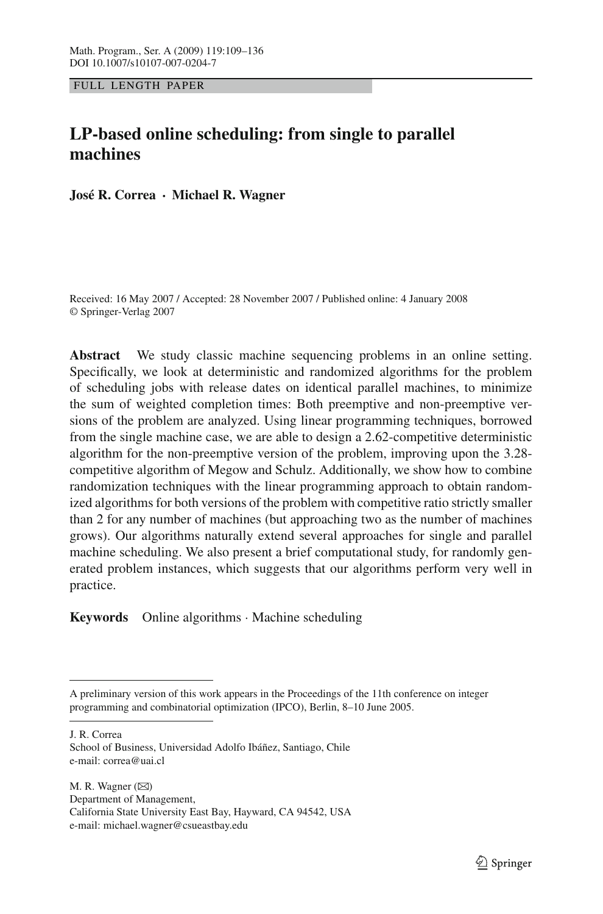FULL LENGTH PAPER

# **LP-based online scheduling: from single to parallel machines**

**José R. Correa · Michael R. Wagner**

Received: 16 May 2007 / Accepted: 28 November 2007 / Published online: 4 January 2008 © Springer-Verlag 2007

**Abstract** We study classic machine sequencing problems in an online setting. Specifically, we look at deterministic and randomized algorithms for the problem of scheduling jobs with release dates on identical parallel machines, to minimize the sum of weighted completion times: Both preemptive and non-preemptive versions of the problem are analyzed. Using linear programming techniques, borrowed from the single machine case, we are able to design a 2.62-competitive deterministic algorithm for the non-preemptive version of the problem, improving upon the 3.28 competitive algorithm of Megow and Schulz. Additionally, we show how to combine randomization techniques with the linear programming approach to obtain randomized algorithms for both versions of the problem with competitive ratio strictly smaller than 2 for any number of machines (but approaching two as the number of machines grows). Our algorithms naturally extend several approaches for single and parallel machine scheduling. We also present a brief computational study, for randomly generated problem instances, which suggests that our algorithms perform very well in practice.

**Keywords** Online algorithms · Machine scheduling

J. R. Correa

M. R. Wagner  $(\boxtimes)$ Department of Management, California State University East Bay, Hayward, CA 94542, USA e-mail: michael.wagner@csueastbay.edu

A preliminary version of this work appears in the Proceedings of the 11th conference on integer programming and combinatorial optimization (IPCO), Berlin, 8–10 June 2005.

School of Business, Universidad Adolfo Ibáñez, Santiago, Chile e-mail: correa@uai.cl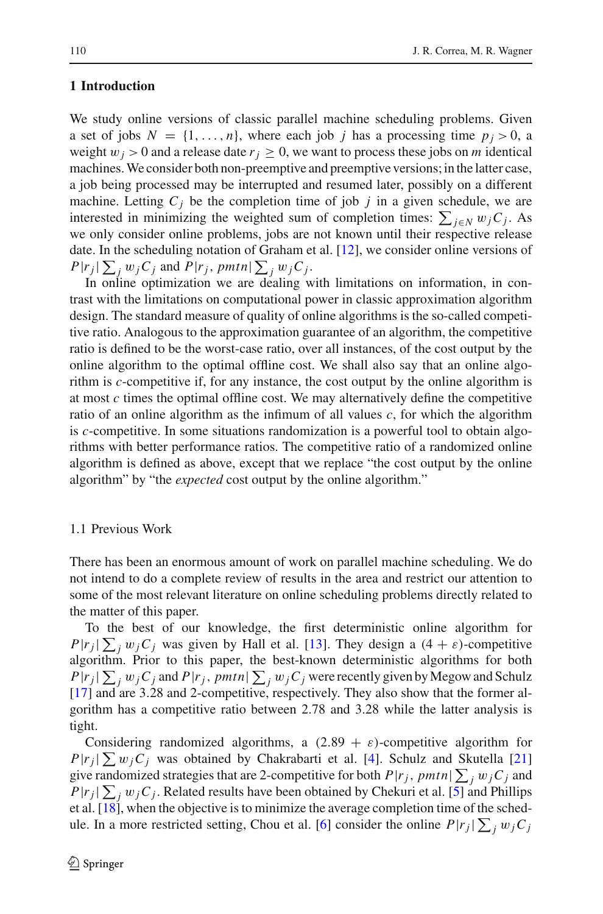## **1 Introduction**

We study online versions of classic parallel machine scheduling problems. Given a set of jobs  $N = \{1, \ldots, n\}$ , where each job *j* has a processing time  $p_i > 0$ , a weight  $w_j > 0$  and a release date  $r_j \geq 0$ , we want to process these jobs on *m* identical machines.We consider both non-preemptive and preemptive versions; in the latter case, a job being processed may be interrupted and resumed later, possibly on a different machine. Letting  $C_i$  be the completion time of job  $j$  in a given schedule, we are interested in minimizing the weighted sum of completion times:  $\sum_{j \in N} w_j C_j$ . As we only consider online problems, jobs are not known until their respective release date. In the scheduling notation of Graham et al. [\[12](#page-26-0)], we consider online versions of  $P|r_j| \sum_j w_j C_j$  and  $P|r_j$ ,  $pmtn| \sum_j w_j C_j$ .

In online optimization we are dealing with limitations on information, in contrast with the limitations on computational power in classic approximation algorithm design. The standard measure of quality of online algorithms is the so-called competitive ratio. Analogous to the approximation guarantee of an algorithm, the competitive ratio is defined to be the worst-case ratio, over all instances, of the cost output by the online algorithm to the optimal offline cost. We shall also say that an online algorithm is *c*-competitive if, for any instance, the cost output by the online algorithm is at most *c* times the optimal offline cost. We may alternatively define the competitive ratio of an online algorithm as the infimum of all values *c*, for which the algorithm is *c*-competitive. In some situations randomization is a powerful tool to obtain algorithms with better performance ratios. The competitive ratio of a randomized online algorithm is defined as above, except that we replace "the cost output by the online algorithm" by "the *expected* cost output by the online algorithm."

### 1.1 Previous Work

There has been an enormous amount of work on parallel machine scheduling. We do not intend to do a complete review of results in the area and restrict our attention to some of the most relevant literature on online scheduling problems directly related to the matter of this paper.

To the best of our knowledge, the first deterministic online algorithm for  $P|r_j|\sum_j w_jC_j$  was given by Hall et al. [\[13](#page-26-1)]. They design a  $(4 + \varepsilon)$ -competitive algorithm. Prior to this paper, the best-known deterministic algorithms for both  $P|r_j| \sum_j w_j C_j$  and  $P|r_j$ ,  $pmtn| \sum_j w_j C_j$  were recently given by Megow and Schulz [\[17](#page-26-2)] and are 3.28 and 2-competitive, respectively. They also show that the former algorithm has a competitive ratio between 2.78 and 3.28 while the latter analysis is tight.

Considering randomized algorithms, a  $(2.89 + \varepsilon)$ -competitive algorithm for  $P|r_j| \sum w_j C_j$  was obtained by Chakrabarti et al. [\[4](#page-26-3)]. Schulz and Skutella [\[21\]](#page-26-4) give randomized strategies that are 2-competitive for both  $P|r_j$ ,  $pmtn \mid \sum_j w_j C_j$  and  $P|r_j| \sum_j w_j C_j$ . Related results have been obtained by Chekuri et al. [\[5](#page-26-5)] and Phillips et al.  $[18]$ , when the objective is to minimize the average completion time of the sched-ule. In a more restricted setting, Chou et al. [\[6](#page-26-7)] consider the online  $P|r_j| \sum_j w_j C_j$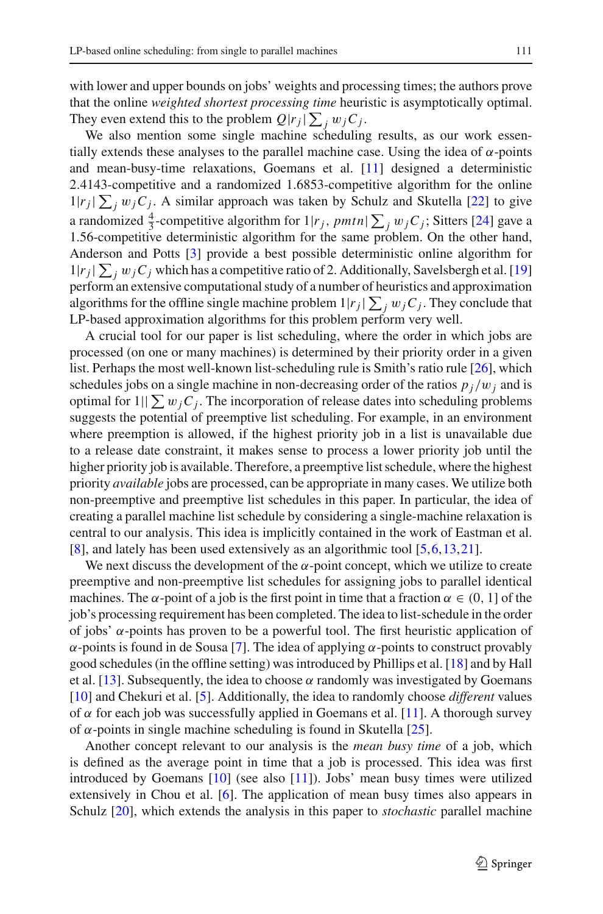with lower and upper bounds on jobs' weights and processing times; the authors prove that the online *weighted shortest processing time* heuristic is asymptotically optimal. They even extend this to the problem  $Q|r_j| \sum_j w_j C_j$ .

We also mention some single machine scheduling results, as our work essentially extends these analyses to the parallel machine case. Using the idea of  $\alpha$ -points and mean-busy-time relaxations, Goemans et al. [\[11](#page-26-8)] designed a deterministic 2.4143-competitive and a randomized 1.6853-competitive algorithm for the online  $1|r_j| \sum_j w_j C_j$ . A similar approach was taken by Schulz and Skutella [\[22](#page-26-9)] to give a randomized  $\frac{4}{3}$ -competitive algorithm for  $1|r_j$ ,  $pmtn \mid \sum_j w_j C_j$ ; Sitters [\[24\]](#page-27-0) gave a 1.56-competitive deterministic algorithm for the same problem. On the other hand, Anderson and Potts [\[3\]](#page-26-10) provide a best possible deterministic online algorithm for  $1|r_j| \sum_j w_j C_j$  which has a competitive ratio of 2. Additionally, Savelsbergh et al. [\[19\]](#page-26-11) perform an extensive computational study of a number of heuristics and approximation algorithms for the offline single machine problem  $1|r_j|\sum_j w_jC_j$ . They conclude that LP-based approximation algorithms for this problem perform very well.

A crucial tool for our paper is list scheduling, where the order in which jobs are processed (on one or many machines) is determined by their priority order in a given list. Perhaps the most well-known list-scheduling rule is Smith's ratio rule [\[26\]](#page-27-1), which schedules jobs on a single machine in non-decreasing order of the ratios  $p_i/w_i$  and is optimal for  $1||\sum w_iC_i$ . The incorporation of release dates into scheduling problems suggests the potential of preemptive list scheduling. For example, in an environment where preemption is allowed, if the highest priority job in a list is unavailable due to a release date constraint, it makes sense to process a lower priority job until the higher priority job is available. Therefore, a preemptive list schedule, where the highest priority *available* jobs are processed, can be appropriate in many cases. We utilize both non-preemptive and preemptive list schedules in this paper. In particular, the idea of creating a parallel machine list schedule by considering a single-machine relaxation is central to our analysis. This idea is implicitly contained in the work of Eastman et al. [\[8](#page-26-12)], and lately has been used extensively as an algorithmic tool [\[5](#page-26-5),[6,](#page-26-7)[13](#page-26-1)[,21](#page-26-4)].

We next discuss the development of the  $\alpha$ -point concept, which we utilize to create preemptive and non-preemptive list schedules for assigning jobs to parallel identical machines. The  $\alpha$ -point of a job is the first point in time that a fraction  $\alpha \in (0, 1]$  of the job's processing requirement has been completed. The idea to list-schedule in the order of jobs' α-points has proven to be a powerful tool. The first heuristic application of α-points is found in de Sousa [\[7\]](#page-26-13). The idea of applying α-points to construct provably good schedules (in the offline setting) was introduced by Phillips et al. [\[18\]](#page-26-6) and by Hall et al. [\[13](#page-26-1)]. Subsequently, the idea to choose  $\alpha$  randomly was investigated by Goemans [\[10](#page-26-14)] and Chekuri et al. [\[5\]](#page-26-5). Additionally, the idea to randomly choose *different* values of  $\alpha$  for each job was successfully applied in Goemans et al. [\[11\]](#page-26-8). A thorough survey of  $\alpha$ -points in single machine scheduling is found in Skutella [\[25\]](#page-27-2).

Another concept relevant to our analysis is the *mean busy time* of a job, which is defined as the average point in time that a job is processed. This idea was first introduced by Goemans [\[10](#page-26-14)] (see also [\[11\]](#page-26-8)). Jobs' mean busy times were utilized extensively in Chou et al. [\[6](#page-26-7)]. The application of mean busy times also appears in Schulz [\[20](#page-26-15)], which extends the analysis in this paper to *stochastic* parallel machine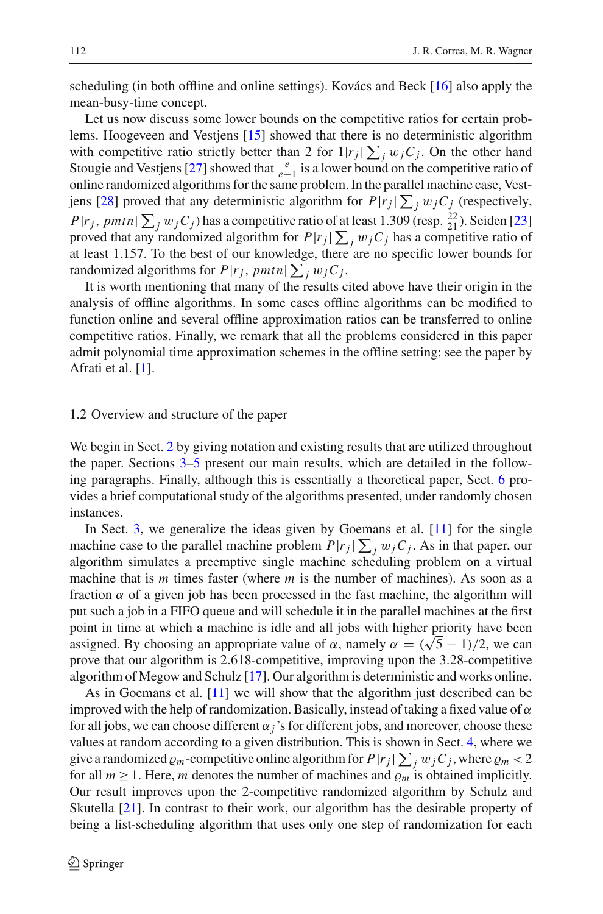scheduling (in both offline and online settings). Kovács and Beck [\[16\]](#page-26-16) also apply the mean-busy-time concept.

Let us now discuss some lower bounds on the competitive ratios for certain problems. Hoogeveen and Vestjens [\[15](#page-26-17)] showed that there is no deterministic algorithm with competitive ratio strictly better than 2 for  $1|r_j| \sum_j w_j C_j$ . On the other hand Stougie and Vestjens [\[27\]](#page-27-3) showed that  $\frac{e}{e-1}$  is a lower bound on the competitive ratio of online randomized algorithms for the same problem. In the parallel machine case, Vest-jens [\[28](#page-27-4)] proved that any deterministic algorithm for  $P|r_j| \sum_j w_j C_j$  (respectively,  $P|r_j$ , *pmtn*  $\sum_j w_j C_j$ ) has a competitive ratio of at least 1.309 (resp.  $\frac{22}{21}$ ). Seiden [\[23\]](#page-26-18) proved that any randomized algorithm for  $P|r_j| \sum_j w_j C_j$  has a competitive ratio of at least 1.157. To the best of our knowledge, there are no specific lower bounds for randomized algorithms for  $P|r_j$ ,  $pmtn \mid \sum_j w_j C_j$ .

It is worth mentioning that many of the results cited above have their origin in the analysis of offline algorithms. In some cases offline algorithms can be modified to function online and several offline approximation ratios can be transferred to online competitive ratios. Finally, we remark that all the problems considered in this paper admit polynomial time approximation schemes in the offline setting; see the paper by Afrati et al. [\[1](#page-26-19)].

### 1.2 Overview and structure of the paper

We begin in Sect. [2](#page-4-0) by giving notation and existing results that are utilized throughout the paper. Sections [3](#page-6-0)[–5](#page-16-0) present our main results, which are detailed in the following paragraphs. Finally, although this is essentially a theoretical paper, Sect. [6](#page-21-0) provides a brief computational study of the algorithms presented, under randomly chosen instances.

In Sect. [3,](#page-6-0) we generalize the ideas given by Goemans et al. [\[11](#page-26-8)] for the single machine case to the parallel machine problem  $P|r_j| \sum_j w_j C_j$ . As in that paper, our algorithm simulates a preemptive single machine scheduling problem on a virtual machine that is *m* times faster (where *m* is the number of machines). As soon as a fraction  $\alpha$  of a given job has been processed in the fast machine, the algorithm will put such a job in a FIFO queue and will schedule it in the parallel machines at the first point in time at which a machine is idle and all jobs with higher priority have been point in time at which a machine is idle and all jobs with higher priority have been<br>assigned. By choosing an appropriate value of α, namely  $\alpha = (\sqrt{5} - 1)/2$ , we can prove that our algorithm is 2.618-competitive, improving upon the 3.28-competitive algorithm of Megow and Schulz [\[17](#page-26-2)]. Our algorithm is deterministic and works online.

As in Goemans et al. [\[11](#page-26-8)] we will show that the algorithm just described can be improved with the help of randomization. Basically, instead of taking a fixed value of  $\alpha$ for all jobs, we can choose different  $\alpha_j$ 's for different jobs, and moreover, choose these values at random according to a given distribution. This is shown in Sect. [4,](#page-9-0) where we give a randomized  $\varrho_m$ -competitive online algorithm for  $P|r_j| \sum_j w_j C_j$ , where  $\varrho_m < 2$ for all  $m \ge 1$ . Here, *m* denotes the number of machines and  $\rho_m$  is obtained implicitly. Our result improves upon the 2-competitive randomized algorithm by Schulz and Skutella [\[21\]](#page-26-4). In contrast to their work, our algorithm has the desirable property of being a list-scheduling algorithm that uses only one step of randomization for each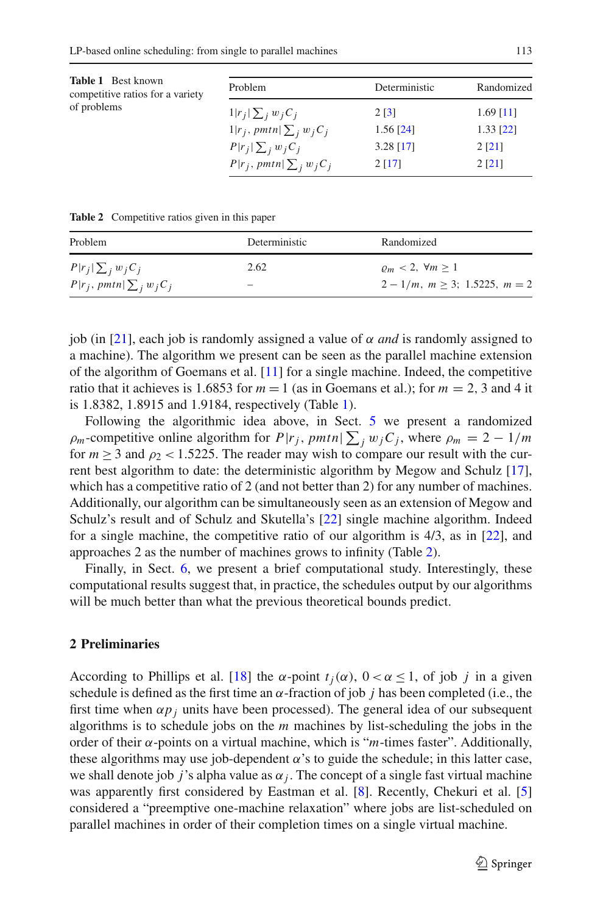<span id="page-4-1"></span>

| <b>Table 1</b> Best known<br>competitive ratios for a variety | Problem                         | Deterministic | Randomized  |
|---------------------------------------------------------------|---------------------------------|---------------|-------------|
| of problems                                                   | $1 r_j \sum_j w_jC_j$           | 2[3]          | $1.69$ [11] |
|                                                               | $1 r_j$ , pmtn $\sum_j w_j C_j$ | $1.56$ [24]   | $1.33$ [22] |
|                                                               | $P r_i \sum_i w_iC_i$           | $3.28$ [17]   | 2[21]       |
|                                                               | $P r_j$ , pmtn $\sum_i w_i C_i$ | 2[17]         | 2[21]       |

**Table 2** Competitive ratios given in this paper

<span id="page-4-2"></span>

| Problem                         | Deterministic | Randomized                             |
|---------------------------------|---------------|----------------------------------------|
| $P r_j \sum_j w_jC_j$           | 2.62          | $\rho_m < 2, \forall m \geq 1$         |
| $P r_j$ , pmtn $\sum_j w_j C_j$ | -             | $2-1/m$ , $m \geq 3$ ; 1.5225, $m = 2$ |

job (in [\[21](#page-26-4)], each job is randomly assigned a value of  $\alpha$  *and* is randomly assigned to a machine). The algorithm we present can be seen as the parallel machine extension of the algorithm of Goemans et al. [\[11](#page-26-8)] for a single machine. Indeed, the competitive ratio that it achieves is 1.6853 for  $m = 1$  (as in Goemans et al.); for  $m = 2$ , 3 and 4 it is 1.8382, 1.8915 and 1.9184, respectively (Table [1\)](#page-4-1).

Following the algorithmic idea above, in Sect. [5](#page-16-0) we present a randomized  $\rho_m$ -competitive online algorithm for  $P|r_j$ ,  $pmtn \geq j$ , where  $\rho_m = 2 - 1/m$ for  $m \geq 3$  and  $\rho_2 < 1.5225$ . The reader may wish to compare our result with the current best algorithm to date: the deterministic algorithm by Megow and Schulz [\[17](#page-26-2)], which has a competitive ratio of 2 (and not better than 2) for any number of machines. Additionally, our algorithm can be simultaneously seen as an extension of Megow and Schulz's result and of Schulz and Skutella's [\[22\]](#page-26-9) single machine algorithm. Indeed for a single machine, the competitive ratio of our algorithm is 4/3, as in [\[22](#page-26-9)], and approaches 2 as the number of machines grows to infinity (Table [2\)](#page-4-2).

Finally, in Sect. [6,](#page-21-0) we present a brief computational study. Interestingly, these computational results suggest that, in practice, the schedules output by our algorithms will be much better than what the previous theoretical bounds predict.

### <span id="page-4-0"></span>**2 Preliminaries**

According to Phillips et al. [\[18](#page-26-6)] the  $\alpha$ -point  $t_i(\alpha)$ ,  $0 < \alpha \leq 1$ , of job *j* in a given schedule is defined as the first time an  $\alpha$ -fraction of job *j* has been completed (i.e., the first time when  $\alpha p_i$  units have been processed). The general idea of our subsequent algorithms is to schedule jobs on the *m* machines by list-scheduling the jobs in the order of their  $\alpha$ -points on a virtual machine, which is "*m*-times faster". Additionally, these algorithms may use job-dependent  $\alpha$ 's to guide the schedule; in this latter case, we shall denote job *j*'s alpha value as  $\alpha_j$ . The concept of a single fast virtual machine was apparently first considered by Eastman et al. [\[8\]](#page-26-12). Recently, Chekuri et al. [\[5\]](#page-26-5) considered a "preemptive one-machine relaxation" where jobs are list-scheduled on parallel machines in order of their completion times on a single virtual machine.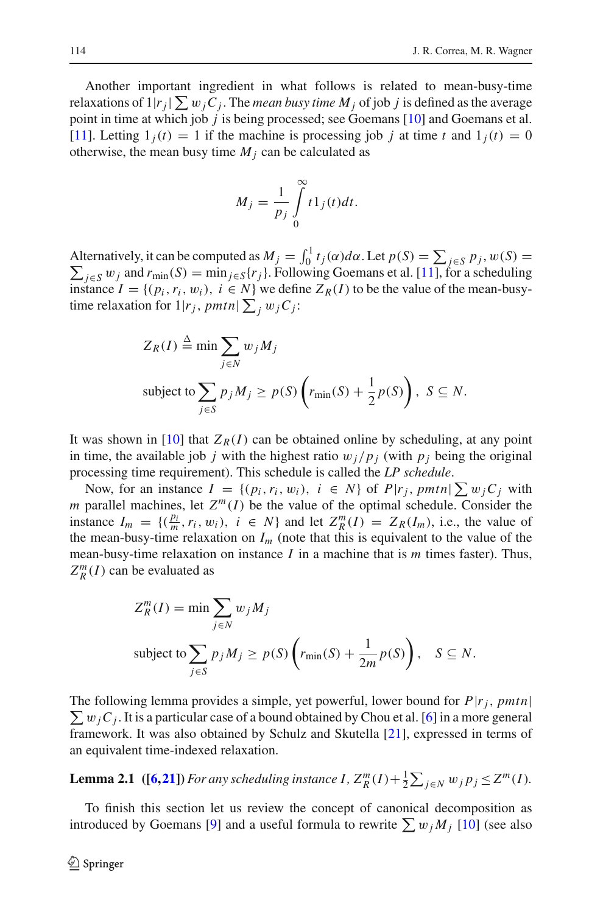Another important ingredient in what follows is related to mean-busy-time relaxations of  $1|r_j|\sum w_jC_j.$  The *mean busy time M<sub>j</sub>* of job *j* is defined as the average point in time at which job *j* is being processed; see Goemans [\[10](#page-26-14)] and Goemans et al. [\[11](#page-26-8)]. Letting  $1<sub>i</sub>(t) = 1$  if the machine is processing job *j* at time *t* and  $1<sub>i</sub>(t) = 0$ otherwise, the mean busy time  $M_i$  can be calculated as

$$
M_j = \frac{1}{p_j} \int\limits_0^\infty t 1_j(t) dt.
$$

Alternatively, it can be computed as  $M_j = \int_0^1 t_j(\alpha) d\alpha$ . Let  $p(S) = \sum_{j \in S} p_j$ Alternatively, it can be computed as  $M_j = \int_0^1 t_j(\alpha) d\alpha$ . Let  $p(S) = \sum_{j \in S} p_j$ ,  $w(S) = \sum_{j \in S} w_j$  and  $r_{\min}(S) = \min_{j \in S} \{r_j\}$ . Following Goemans et al. [\[11\]](#page-26-8), for a scheduling instance  $I = \{(p_i, r_i, w_i), i \in N\}$  we define  $Z_R(I)$  to be the value of the mean-busytime relaxation for  $1|r_j$ ,  $pmtn$  $\sum_j w_j C_j$ :

$$
Z_R(I) \stackrel{\Delta}{=} \min \sum_{j \in N} w_j M_j
$$
  
subject to 
$$
\sum_{j \in S} p_j M_j \ge p(S) \left( r_{\min}(S) + \frac{1}{2} p(S) \right), S \subseteq N.
$$

It was shown in [\[10](#page-26-14)] that  $Z_R(I)$  can be obtained online by scheduling, at any point in time, the available job *j* with the highest ratio  $w_j/p_j$  (with  $p_j$  being the original processing time requirement). This schedule is called the *LP schedule*.

Now, for an instance  $I = \{(p_i, r_i, w_i), i \in N\}$  of  $P|r_j$ ,  $pmtn \geq w_j C_j$  with *m* parallel machines, let  $Z^m(I)$  be the value of the optimal schedule. Consider the instance  $I_m = \{(\frac{p_i}{m}, r_i, w_i), i \in N\}$  and let  $Z_R^m(I) = Z_R(I_m)$ , i.e., the value of the mean-busy-time relaxation on  $I_m$  (note that this is equivalent to the value of the mean-busy-time relaxation on instance *I* in a machine that is *m* times faster). Thus,  $Z_R^m(I)$  can be evaluated as

$$
Z_R^m(I) = \min \sum_{j \in N} w_j M_j
$$
  
subject to 
$$
\sum_{j \in S} p_j M_j \ge p(S) \left( r_{\min}(S) + \frac{1}{2m} p(S) \right), \quad S \subseteq N.
$$

 $\sum w_j C_j$ . It is a particular case of a bound obtained by Chou et al. [\[6](#page-26-7)] in a more general The following lemma provides a simple, yet powerful, lower bound for *P*|*rj*, *pmtn*| framework. It was also obtained by Schulz and Skutella [\[21\]](#page-26-4), expressed in terms of an equivalent time-indexed relaxation.

<span id="page-5-0"></span>**Lemma 2.1** ([\[6](#page-26-7)[,21](#page-26-4)]) For any scheduling instance  $I$ ,  $Z_R^m(I) + \frac{1}{2} \sum_{j \in N} w_j p_j \leq Z^m(I)$ *.* 

To finish this section let us review the concept of canonical decomposition as introduced by Goemans [\[9](#page-26-20)] and a useful formula to rewrite  $\sum w_j M_j$  [\[10\]](#page-26-14) (see also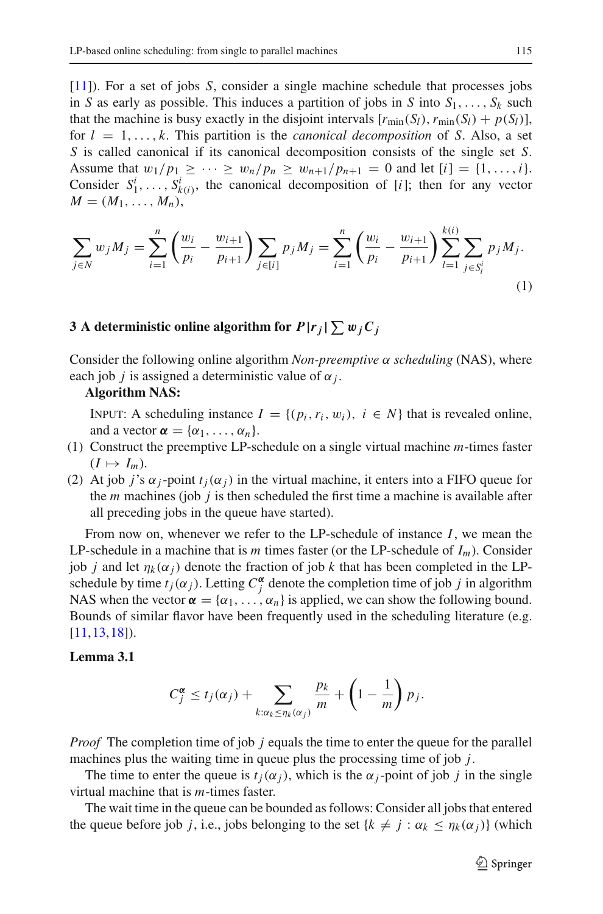[\[11](#page-26-8)]). For a set of jobs *S*, consider a single machine schedule that processes jobs in *S* as early as possible. This induces a partition of jobs in *S* into  $S_1, \ldots, S_k$  such that the machine is busy exactly in the disjoint intervals  $[r_{\min}(S_l), r_{\min}(S_l) + p(S_l)],$ for  $l = 1, \ldots, k$ . This partition is the *canonical decomposition* of *S*. Also, a set *S* is called canonical if its canonical decomposition consists of the single set *S*. Assume that  $w_1/p_1 \geq \cdots \geq w_n/p_n \geq w_{n+1}/p_{n+1} = 0$  and let  $[i] = \{1, \ldots, i\}.$ Consider  $S_1^i, \ldots, S_{k(i)}^i$ , the canonical decomposition of [*i*]; then for any vector  $M = (M_1, \ldots, M_n),$ 

<span id="page-6-2"></span>
$$
\sum_{j \in N} w_j M_j = \sum_{i=1}^n \left( \frac{w_i}{p_i} - \frac{w_{i+1}}{p_{i+1}} \right) \sum_{j \in [i]} p_j M_j = \sum_{i=1}^n \left( \frac{w_i}{p_i} - \frac{w_{i+1}}{p_{i+1}} \right) \sum_{l=1}^{k(i)} \sum_{j \in S_l^i} p_j M_j.
$$
\n(1)

# <span id="page-6-0"></span>**3** A deterministic online algorithm for  $P|r_j| \sum w_j C_j$

Consider the following online algorithm *Non-preemptive* α *scheduling* (NAS), where each job *j* is assigned a deterministic value of  $\alpha_j$ .

### **Algorithm NAS:**

INPUT: A scheduling instance  $I = \{(p_i, r_i, w_i), i \in N\}$  that is revealed online, and a vector  $\alpha = {\alpha_1, \ldots, \alpha_n}$ .

- (1) Construct the preemptive LP-schedule on a single virtual machine *m*-times faster  $(I \mapsto I_m)$ .
- (2) At job *j*'s  $\alpha_j$ -point  $t_j(\alpha_j)$  in the virtual machine, it enters into a FIFO queue for the *m* machines (job *j* is then scheduled the first time a machine is available after all preceding jobs in the queue have started).

From now on, whenever we refer to the LP-schedule of instance *I*, we mean the LP-schedule in a machine that is *m* times faster (or the LP-schedule of *Im*). Consider job *j* and let  $\eta_k(\alpha_j)$  denote the fraction of job *k* that has been completed in the LPschedule by time  $t_j(\alpha_j)$ . Letting  $C_j^{\alpha}$  denote the completion time of job *j* in algorithm NAS when the vector  $\alpha = {\alpha_1, \ldots, \alpha_n}$  is applied, we can show the following bound. Bounds of similar flavor have been frequently used in the scheduling literature (e.g. [\[11](#page-26-8)[,13](#page-26-1),[18](#page-26-6)]).

### <span id="page-6-1"></span>**Lemma 3.1**

$$
C_j^{\alpha} \leq t_j(\alpha_j) + \sum_{k:\alpha_k \leq \eta_k(\alpha_j)} \frac{p_k}{m} + \left(1 - \frac{1}{m}\right) p_j.
$$

*Proof* The completion time of job *j* equals the time to enter the queue for the parallel machines plus the waiting time in queue plus the processing time of job *j*.

The time to enter the queue is  $t_i(\alpha_j)$ , which is the  $\alpha_j$ -point of job *j* in the single virtual machine that is *m*-times faster.

The wait time in the queue can be bounded as follows: Consider all jobs that entered the queue before job *j*, i.e., jobs belonging to the set  $\{k \neq j : \alpha_k \leq \eta_k(\alpha_j)\}$  (which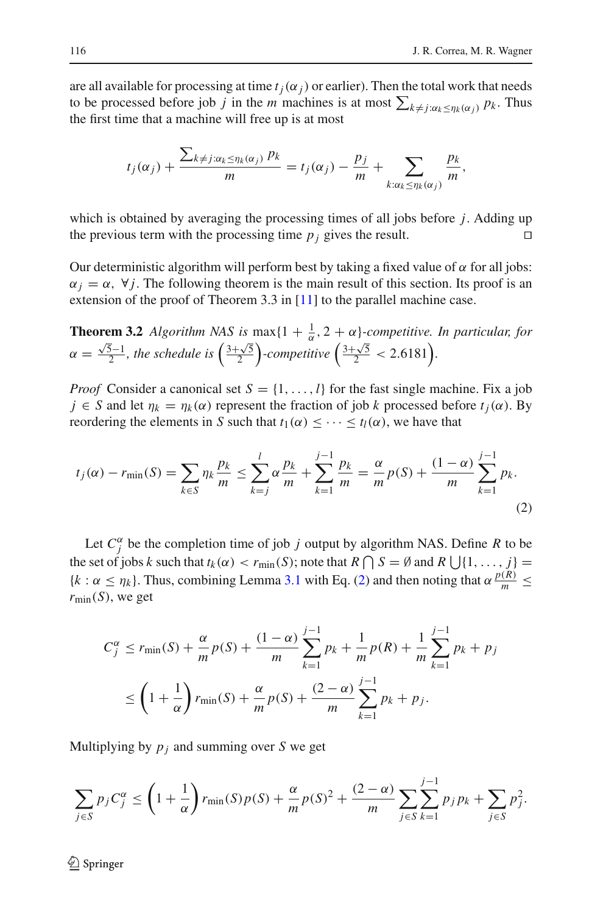are all available for processing at time  $t_i(\alpha_i)$  or earlier). Then the total work that needs to be processed before job *j* in the *m* machines is at most  $\sum_{k \neq j : \alpha_k \leq \eta_k(\alpha_j)} p_k$ . Thus the first time that a machine will free up is at most

$$
t_j(\alpha_j)+\frac{\sum_{k\neq j:\alpha_k\leq \eta_k(\alpha_j)} p_k}{m}=t_j(\alpha_j)-\frac{p_j}{m}+\sum_{k:\alpha_k\leq \eta_k(\alpha_j)}\frac{p_k}{m},
$$

which is obtained by averaging the processing times of all jobs before *j*. Adding up the previous term with the processing time  $p_i$  gives the result.

Our deterministic algorithm will perform best by taking a fixed value of  $\alpha$  for all jobs:  $\alpha_j = \alpha$ ,  $\forall j$ . The following theorem is the main result of this section. Its proof is an extension of the proof of Theorem 3.3 in [\[11\]](#page-26-8) to the parallel machine case.

**Theorem 3.2** *Algorithm NAS is*  $\max\{1 + \frac{1}{\alpha}, 2 + \alpha\}$ -competitive. In particular, for  $\alpha =$  $\frac{\sqrt{5}-1}{2}$ , the schedule is  $\left(\frac{3+\sqrt{5}}{2}\right)$ -competitive  $\left(\frac{3+\sqrt{5}}{2} < 2.6181\right)$ .

*Proof* Consider a canonical set  $S = \{1, \ldots, l\}$  for the fast single machine. Fix a job  $j \in S$  and let  $\eta_k = \eta_k(\alpha)$  represent the fraction of job *k* processed before  $t_i(\alpha)$ . By reordering the elements in *S* such that  $t_1(\alpha) \leq \cdots \leq t_l(\alpha)$ , we have that

<span id="page-7-0"></span>
$$
t_j(\alpha) - r_{\min}(S) = \sum_{k \in S} \eta_k \frac{p_k}{m} \le \sum_{k=j}^l \alpha \frac{p_k}{m} + \sum_{k=1}^{j-1} \frac{p_k}{m} = \frac{\alpha}{m} p(S) + \frac{(1-\alpha)}{m} \sum_{k=1}^{j-1} p_k.
$$
\n(2)

Let  $C_j^{\alpha}$  be the completion time of job *j* output by algorithm NAS. Define *R* to be the set of jobs *k* such that  $t_k(\alpha) < r_{\min}(S)$ ; note that  $R \bigcap S = \emptyset$  and  $R \bigcup \{1, \ldots, j\} =$  ${k : \alpha \leq \eta_k}$ . Thus, combining Lemma [3.1](#page-6-1) with Eq. [\(2\)](#page-7-0) and then noting that  $\alpha \frac{p(R)}{m} \leq$  $r_{\text{min}}(S)$ , we get

$$
C_j^{\alpha} \le r_{\min}(S) + \frac{\alpha}{m} p(S) + \frac{(1-\alpha)}{m} \sum_{k=1}^{j-1} p_k + \frac{1}{m} p(R) + \frac{1}{m} \sum_{k=1}^{j-1} p_k + p_j
$$
  

$$
\le \left(1 + \frac{1}{\alpha}\right) r_{\min}(S) + \frac{\alpha}{m} p(S) + \frac{(2-\alpha)}{m} \sum_{k=1}^{j-1} p_k + p_j.
$$

Multiplying by  $p_i$  and summing over *S* we get

$$
\sum_{j \in S} p_j C_j^{\alpha} \le \left(1 + \frac{1}{\alpha}\right) r_{\min}(S) p(S) + \frac{\alpha}{m} p(S)^2 + \frac{(2 - \alpha)}{m} \sum_{j \in S} \sum_{k=1}^{j-1} p_j p_k + \sum_{j \in S} p_j^2.
$$

 $\mathcal{L}$  Springer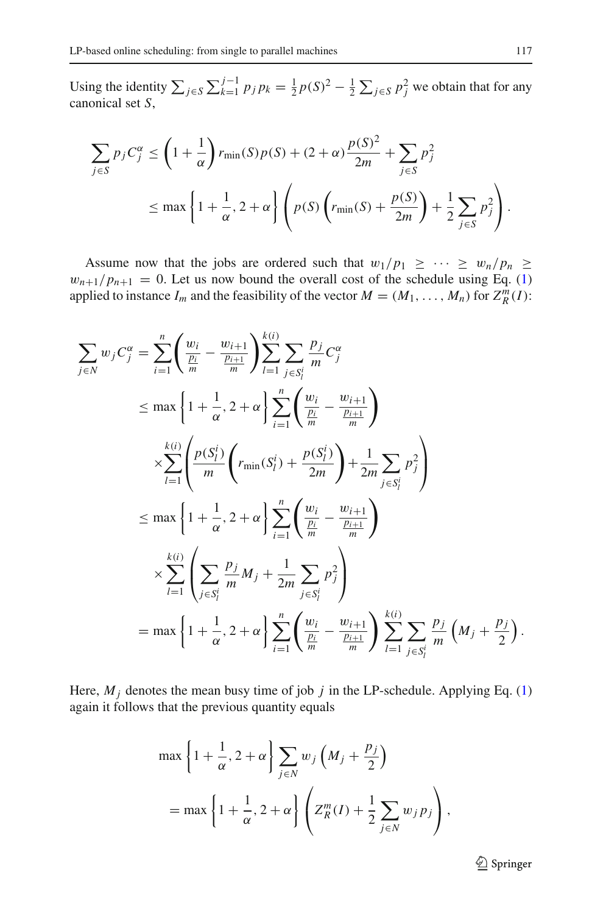Using the identity  $\sum_{j \in S} \sum_{k=1}^{j-1} p_j p_k = \frac{1}{2} p(S)^2 - \frac{1}{2} \sum_{j \in S} p_j^2$  we obtain that for any canonical set *S*,

$$
\sum_{j \in S} p_j C_j^{\alpha} \le \left(1 + \frac{1}{\alpha}\right) r_{\min}(S) p(S) + (2 + \alpha) \frac{p(S)^2}{2m} + \sum_{j \in S} p_j^2
$$
  

$$
\le \max\left\{1 + \frac{1}{\alpha}, 2 + \alpha\right\} \left(p(S) \left(r_{\min}(S) + \frac{p(S)}{2m}\right) + \frac{1}{2} \sum_{j \in S} p_j^2\right).
$$

Assume now that the jobs are ordered such that  $w_1/p_1 \geq \cdots \geq w_n/p_n \geq$  $w_{n+1}/p_{n+1} = 0$ . Let us now bound the overall cost of the schedule using Eq. [\(1\)](#page-6-2) applied to instance  $I_m$  and the feasibility of the vector  $M = (M_1, \ldots, M_n)$  for  $Z_R^m(I)$ :

$$
\sum_{j \in N} w_j C_j^{\alpha} = \sum_{i=1}^n \left( \frac{w_i}{\frac{p_i}{m}} - \frac{w_{i+1}}{\frac{p_{i+1}}{m}} \right) \sum_{l=1}^{k(i)} \sum_{j \in S_l^i} \frac{p_j}{m} C_j^{\alpha} \n\leq \max \left\{ 1 + \frac{1}{\alpha}, 2 + \alpha \right\} \sum_{i=1}^n \left( \frac{w_i}{\frac{p_i}{m}} - \frac{w_{i+1}}{\frac{p_{i+1}}{m}} \right) \n\times \sum_{l=1}^{k(i)} \left( \frac{p(S_l^i)}{m} \left( r_{\min}(S_l^i) + \frac{p(S_l^i)}{2m} \right) + \frac{1}{2m} \sum_{j \in S_l^i} p_j^2 \right) \n\leq \max \left\{ 1 + \frac{1}{\alpha}, 2 + \alpha \right\} \sum_{i=1}^n \left( \frac{w_i}{\frac{p_i}{m}} - \frac{w_{i+1}}{\frac{p_{i+1}}{m}} \right) \n\times \sum_{l=1}^{k(i)} \left( \sum_{j \in S_l^i} \frac{p_j}{m} M_j + \frac{1}{2m} \sum_{j \in S_l^i} p_j^2 \right) \n= \max \left\{ 1 + \frac{1}{\alpha}, 2 + \alpha \right\} \sum_{i=1}^n \left( \frac{w_i}{\frac{p_i}{m}} - \frac{w_{i+1}}{\frac{p_{i+1}}{m}} \right) \sum_{l=1}^{k(i)} \sum_{j \in S_l^i} \frac{p_j}{m} \left( M_j + \frac{p_j}{2} \right).
$$

Here,  $M_j$  denotes the mean busy time of job  $j$  in the LP-schedule. Applying Eq. [\(1\)](#page-6-2) again it follows that the previous quantity equals

$$
\max\left\{1+\frac{1}{\alpha}, 2+\alpha\right\}\sum_{j\in N} w_j \left(M_j+\frac{p_j}{2}\right)
$$

$$
= \max\left\{1+\frac{1}{\alpha}, 2+\alpha\right\} \left(Z_R^m(I) + \frac{1}{2}\sum_{j\in N} w_j p_j\right),
$$

<sup>2</sup> Springer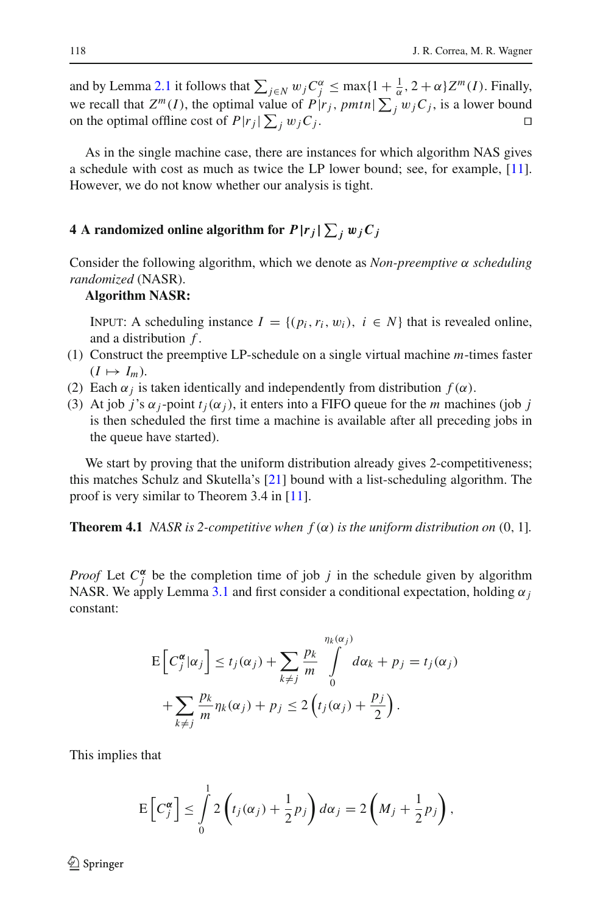and by Lemma [2.1](#page-5-0) it follows that  $\sum_{j \in N} w_j C_j^{\alpha} \le \max\{1 + \frac{1}{\alpha}, 2 + \alpha\} Z^m(I)$ . Finally, we recall that  $Z^m(I)$ , the optimal value of  $P|r_j$ ,  $pmtn \mid \sum_j w_j C_j$ , is a lower bound on the optimal offline cost of  $P|r_j|\sum_j w_jC_j$ .

As in the single machine case, there are instances for which algorithm NAS gives a schedule with cost as much as twice the LP lower bound; see, for example, [\[11](#page-26-8)]. However, we do not know whether our analysis is tight.

# <span id="page-9-0"></span>**4** A randomized online algorithm for  $P| r_j | \sum_j w_j C_j$

Consider the following algorithm, which we denote as *Non-preemptive* α *scheduling randomized* (NASR).

### **Algorithm NASR:**

INPUT: A scheduling instance  $I = \{(p_i, r_i, w_i), i \in N\}$  that is revealed online, and a distribution *f* .

- (1) Construct the preemptive LP-schedule on a single virtual machine *m*-times faster  $(I \mapsto I_m)$ .
- (2) Each  $\alpha_i$  is taken identically and independently from distribution  $f(\alpha)$ .
- (3) At job *j*'s  $\alpha$ <sub>*j*</sub>-point  $t_i(\alpha_j)$ , it enters into a FIFO queue for the *m* machines (job *j* is then scheduled the first time a machine is available after all preceding jobs in the queue have started).

We start by proving that the uniform distribution already gives 2-competitiveness; this matches Schulz and Skutella's [\[21\]](#page-26-4) bound with a list-scheduling algorithm. The proof is very similar to Theorem 3.4 in [\[11](#page-26-8)].

**Theorem 4.1** *NASR is 2-competitive when*  $f(\alpha)$  *is the uniform distribution on* (0, 1]*.* 

*Proof* Let  $C_j^{\alpha}$  be the completion time of job *j* in the schedule given by algorithm NASR. We apply Lemma [3.1](#page-6-1) and first consider a conditional expectation, holding  $\alpha_j$ constant:

$$
E\left[C_j^{\alpha}|\alpha_j\right] \le t_j(\alpha_j) + \sum_{k \ne j} \frac{p_k}{m} \int_0^{\eta_k(\alpha_j)} d\alpha_k + p_j = t_j(\alpha_j) + \sum_{k \ne j} \frac{p_k}{m} \eta_k(\alpha_j) + p_j \le 2\left(t_j(\alpha_j) + \frac{p_j}{2}\right).
$$

This implies that

$$
\mathbb{E}\left[C_j^{\alpha}\right] \leq \int_0^1 2\left(t_j(\alpha_j) + \frac{1}{2}p_j\right)d\alpha_j = 2\left(M_j + \frac{1}{2}p_j\right),
$$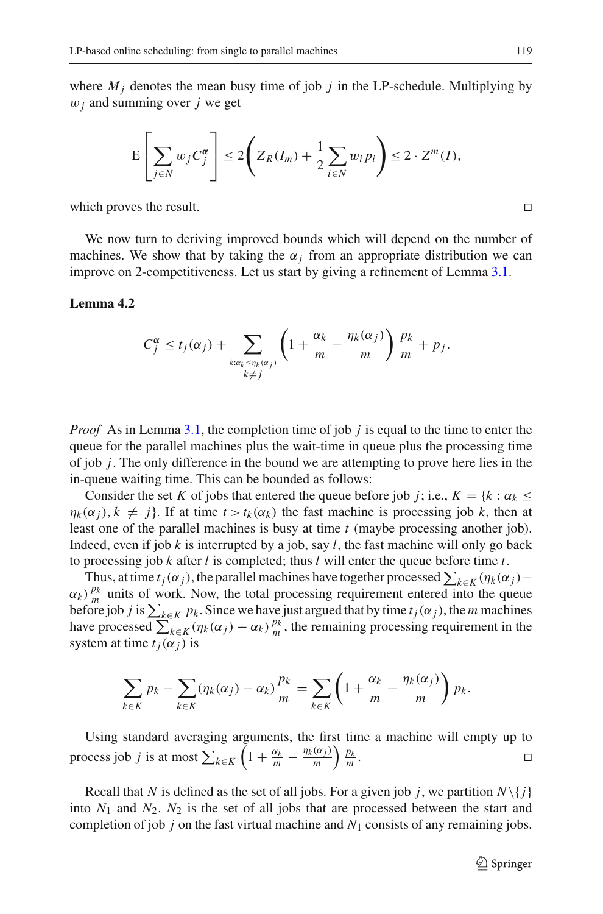where  $M_i$  denotes the mean busy time of job  $j$  in the LP-schedule. Multiplying by w*<sup>j</sup>* and summing over *j* we get

$$
E\left[\sum_{j\in N} w_j C_j^{\alpha}\right] \le 2\left(Z_R(I_m) + \frac{1}{2}\sum_{i\in N} w_i p_i\right) \le 2 \cdot Z^m(I),
$$

which proves the result.  $\Box$ 

We now turn to deriving improved bounds which will depend on the number of machines. We show that by taking the  $\alpha_j$  from an appropriate distribution we can improve on 2-competitiveness. Let us start by giving a refinement of Lemma [3.1.](#page-6-1)

### <span id="page-10-0"></span>**Lemma 4.2**

$$
C_j^{\alpha} \leq t_j(\alpha_j) + \sum_{\substack{k:\alpha_k \leq \eta_k(\alpha_j) \\ k \neq j}} \left(1 + \frac{\alpha_k}{m} - \frac{\eta_k(\alpha_j)}{m}\right) \frac{p_k}{m} + p_j.
$$

*Proof* As in Lemma [3.1,](#page-6-1) the completion time of job *j* is equal to the time to enter the queue for the parallel machines plus the wait-time in queue plus the processing time of job *j*. The only difference in the bound we are attempting to prove here lies in the in-queue waiting time. This can be bounded as follows:

Consider the set *K* of jobs that entered the queue before job *j*; i.e.,  $K = \{k : \alpha_k \leq k\}$  $\eta_k(\alpha_j)$ ,  $k \neq j$ . If at time  $t > t_k(\alpha_k)$  the fast machine is processing job *k*, then at least one of the parallel machines is busy at time *t* (maybe processing another job). Indeed, even if job *k* is interrupted by a job, say *l*, the fast machine will only go back to processing job *k* after *l* is completed; thus *l* will enter the queue before time *t*.

Thus, at time  $t_j(\alpha_j)$ , the parallel machines have together processed  $\sum_{k \in K} (\eta_k(\alpha_j) \alpha_k$ )  $\frac{p_k}{m}$  units of work. Now, the total processing requirement entered into the queue before job *j* is  $\sum_{k \in K} p_k$ . Since we have just argued that by time  $t_j(\alpha_j)$ , the *m* machines have processed  $\sum_{k\in K}^{K} (\eta_k(\alpha_j) - \alpha_k) \frac{p_k}{m}$ , the remaining processing requirement in the system at time  $t_i(\alpha_i)$  is

$$
\sum_{k \in K} p_k - \sum_{k \in K} (\eta_k(\alpha_j) - \alpha_k) \frac{p_k}{m} = \sum_{k \in K} \left( 1 + \frac{\alpha_k}{m} - \frac{\eta_k(\alpha_j)}{m} \right) p_k.
$$

Using standard averaging arguments, the first time a machine will empty up to process job *j* is at most  $\sum_{k \in K} \left(1 + \frac{\alpha_k}{m} - \frac{\eta_k(\alpha_j)}{m}\right) \frac{p_k}{m}$  $\frac{p_k}{m}$ .

Recall that *N* is defined as the set of all jobs. For a given job *j*, we partition  $N\{j\}$ into  $N_1$  and  $N_2$ .  $N_2$  is the set of all jobs that are processed between the start and completion of job  $j$  on the fast virtual machine and  $N_1$  consists of any remaining jobs.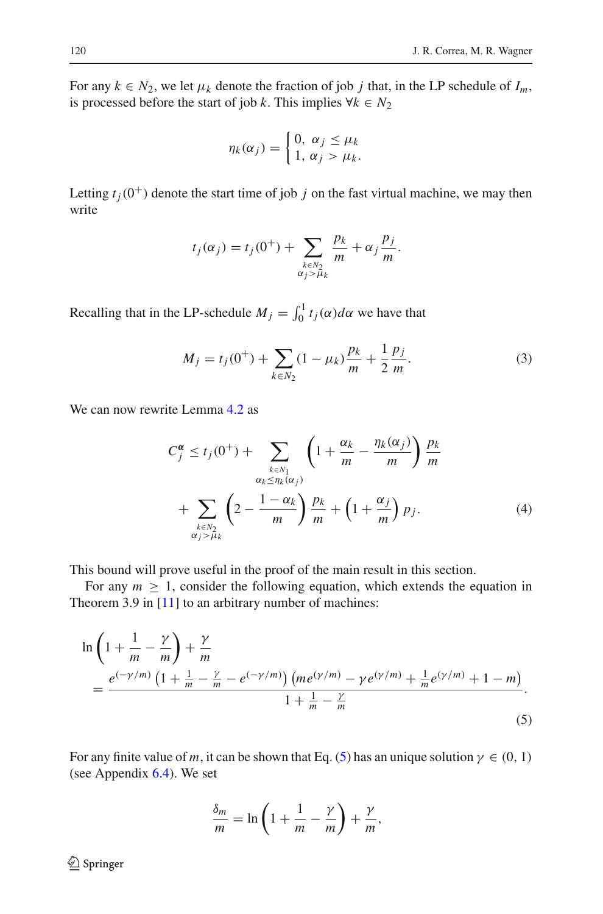For any  $k \in N_2$ , we let  $\mu_k$  denote the fraction of job *j* that, in the LP schedule of  $I_m$ , is processed before the start of job *k*. This implies  $∀k ∈ N<sub>2</sub>$ 

$$
\eta_k(\alpha_j) = \begin{cases} 0, & \alpha_j \leq \mu_k \\ 1, & \alpha_j > \mu_k. \end{cases}
$$

Letting  $t_i(0^+)$  denote the start time of job *j* on the fast virtual machine, we may then write

$$
t_j(\alpha_j) = t_j(0^+) + \sum_{\substack{k \in N_2 \\ \alpha_j > \mu_k}} \frac{p_k}{m} + \alpha_j \frac{p_j}{m}.
$$

<span id="page-11-2"></span>Recalling that in the LP-schedule  $M_j = \int_0^1 t_j(\alpha) d\alpha$  we have that

$$
M_j = t_j(0^+) + \sum_{k \in N_2} (1 - \mu_k) \frac{p_k}{m} + \frac{1}{2} \frac{p_j}{m}.
$$
 (3)

<span id="page-11-1"></span>We can now rewrite Lemma [4.2](#page-10-0) as

$$
C_j^{\alpha} \le t_j(0^+) + \sum_{\substack{k \in N_1 \\ \alpha_k \le \eta_k(\alpha_j)}} \left(1 + \frac{\alpha_k}{m} - \frac{\eta_k(\alpha_j)}{m}\right) \frac{p_k}{m}
$$

$$
+ \sum_{\substack{k \in N_2 \\ \alpha_j > \mu_k}} \left(2 - \frac{1 - \alpha_k}{m}\right) \frac{p_k}{m} + \left(1 + \frac{\alpha_j}{m}\right) p_j. \tag{4}
$$

This bound will prove useful in the proof of the main result in this section.

For any  $m \geq 1$ , consider the following equation, which extends the equation in Theorem 3.9 in [\[11\]](#page-26-8) to an arbitrary number of machines:

<span id="page-11-0"></span>
$$
\ln\left(1+\frac{1}{m}-\frac{\gamma}{m}\right)+\frac{\gamma}{m}
$$
\n
$$
=\frac{e^{(-\gamma/m)}\left(1+\frac{1}{m}-\frac{\gamma}{m}-e^{(-\gamma/m)}\right)\left(m e^{(\gamma/m)}-\gamma e^{(\gamma/m)}+\frac{1}{m}e^{(\gamma/m)}+1-m\right)}{1+\frac{1}{m}-\frac{\gamma}{m}}.
$$
\n(5)

For any finite value of *m*, it can be shown that Eq. [\(5\)](#page-11-0) has an unique solution  $\gamma \in (0, 1)$ (see Appendix [6.4\)](#page-24-0). We set

$$
\frac{\delta_m}{m} = \ln\left(1 + \frac{1}{m} - \frac{\gamma}{m}\right) + \frac{\gamma}{m},
$$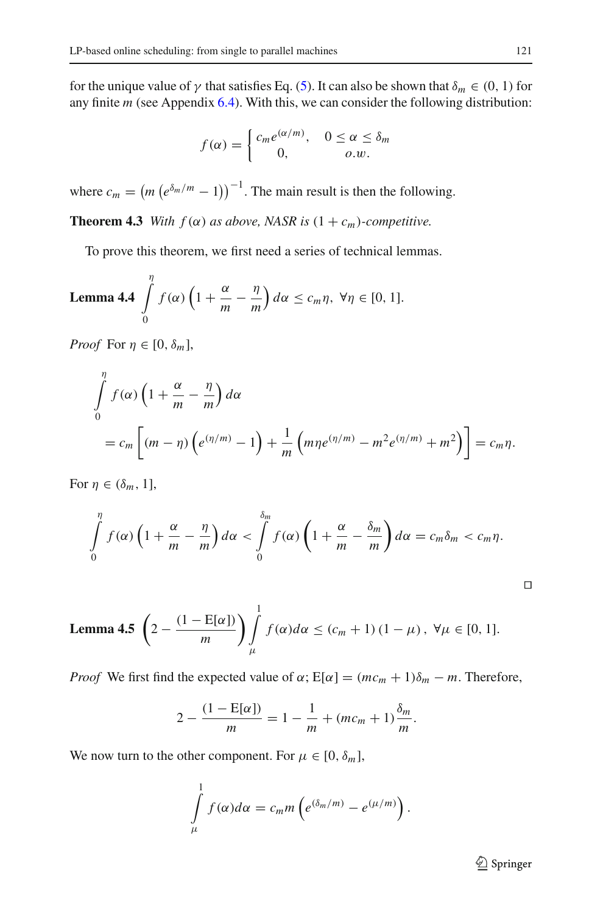for the unique value of  $\gamma$  that satisfies Eq. [\(5\)](#page-11-0). It can also be shown that  $\delta_m \in (0, 1)$  for any finite *m* (see Appendix [6.4\)](#page-24-0). With this, we can consider the following distribution:

$$
f(\alpha) = \begin{cases} c_m e^{(\alpha/m)}, & 0 \le \alpha \le \delta_m \\ 0, & o.w. \end{cases}
$$

<span id="page-12-0"></span>where  $c_m = (m \left( e^{\delta_m/m} - 1 \right))^{-1}$ . The main result is then the following.

**Theorem 4.3** *With*  $f(\alpha)$  *as above, NASR is*  $(1 + c_m)$ *-competitive.* 

To prove this theorem, we first need a series of technical lemmas.

<span id="page-12-1"></span>**Lemma 4.4** 
$$
\int_{0}^{\eta} f(\alpha) \left(1 + \frac{\alpha}{m} - \frac{\eta}{m}\right) d\alpha \leq c_m \eta, \ \forall \eta \in [0, 1].
$$

*Proof* For  $\eta \in [0, \delta_m]$ ,

$$
\int_{0}^{\eta} f(\alpha) \left( 1 + \frac{\alpha}{m} - \frac{\eta}{m} \right) d\alpha
$$
\n
$$
= c_m \left[ (m - \eta) \left( e^{(\eta/m)} - 1 \right) + \frac{1}{m} \left( m \eta e^{(\eta/m)} - m^2 e^{(\eta/m)} + m^2 \right) \right] = c_m \eta.
$$

For  $\eta \in (\delta_m, 1]$ ,

$$
\int_{0}^{\eta} f(\alpha) \left(1 + \frac{\alpha}{m} - \frac{\eta}{m}\right) d\alpha < \int_{0}^{\delta_m} f(\alpha) \left(1 + \frac{\alpha}{m} - \frac{\delta_m}{m}\right) d\alpha = c_m \delta_m < c_m \eta.
$$

<span id="page-12-2"></span>**Lemma 4.5** 
$$
\left(2 - \frac{(1 - E[\alpha])}{m}\right) \int_{\mu}^{1} f(\alpha) d\alpha \le (c_m + 1) (1 - \mu), \ \forall \mu \in [0, 1].
$$

*Proof* We first find the expected value of  $\alpha$ ;  $E[\alpha] = (mc_m + 1)\delta_m - m$ . Therefore,

$$
2 - \frac{(1 - E[\alpha])}{m} = 1 - \frac{1}{m} + (mc_m + 1)\frac{\delta_m}{m}.
$$

We now turn to the other component. For  $\mu \in [0, \delta_m]$ ,

$$
\int_{\mu}^{1} f(\alpha) d\alpha = c_m m \left( e^{(\delta_m/m)} - e^{(\mu/m)} \right).
$$

<sup>2</sup> Springer

 $\Box$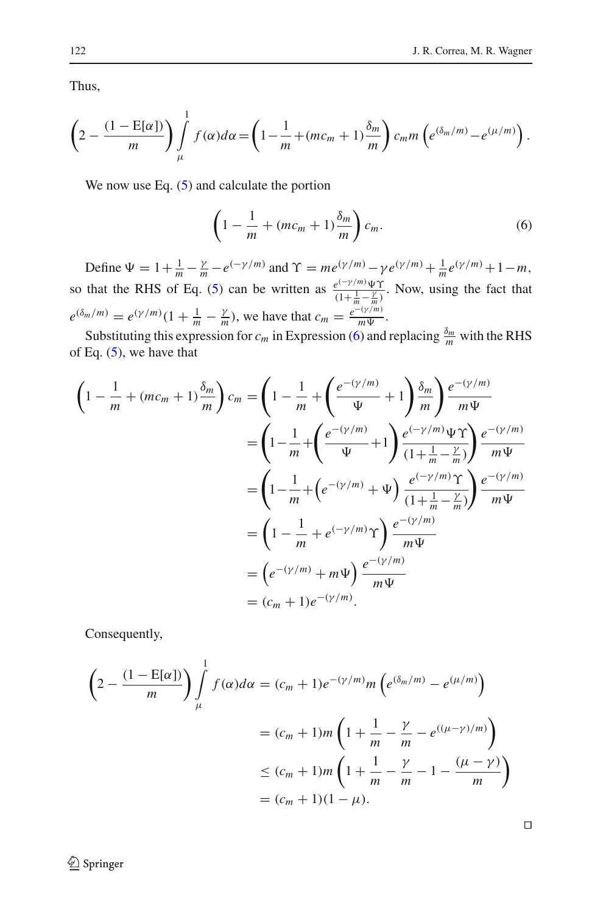Thus,

$$
\left(2-\frac{(1-\mathrm{E}[\alpha])}{m}\right)\int\limits_{\mu}^{1}f(\alpha)d\alpha=\left(1-\frac{1}{m}+(mc_m+1)\frac{\delta_m}{m}\right)c_m m\left(e^{(\delta_m/m)}-e^{(\mu/m)}\right).
$$

<span id="page-13-0"></span>We now use Eq.  $(5)$  and calculate the portion

$$
\left(1 - \frac{1}{m} + (mc_m + 1)\frac{\delta_m}{m}\right)c_m.
$$
\n(6)

Define  $\Psi = 1 + \frac{1}{m} - \frac{\gamma}{m} - e^{(-\gamma/m)}$  and  $\Upsilon = me^{(\gamma/m)} - \gamma e^{(\gamma/m)} + \frac{1}{m}e^{(\gamma/m)} + 1 - m$ , so that the RHS of Eq. [\(5\)](#page-11-0) can be written as  $\frac{e^{(-\gamma/m)}\Psi\Upsilon}{(1+\frac{1}{m}-\frac{\gamma}{m})}$ . Now, using the fact that  $e^{(\delta_m/m)} = e^{(\gamma/m)}(1 + \frac{1}{m} - \frac{\gamma}{m})$ , we have that  $c_m = \frac{e^{-(\gamma/m)}}{m\Psi}$ .

Substituting this expression for  $c_m$  in Expression [\(6\)](#page-13-0) and replacing  $\frac{\delta_m}{m}$  with the RHS of Eq.  $(5)$ , we have that

$$
\left(1 - \frac{1}{m} + (mc_m + 1)\frac{\delta_m}{m}\right)c_m = \left(1 - \frac{1}{m} + \left(\frac{e^{-(\gamma/m)}}{\Psi} + 1\right)\frac{\delta_m}{m}\right)\frac{e^{-(\gamma/m)}}{m\Psi}
$$

$$
= \left(1 - \frac{1}{m} + \left(\frac{e^{-(\gamma/m)}}{\Psi} + 1\right)\frac{e^{(-\gamma/m)}\Psi\Upsilon}{(1 + \frac{1}{m} - \frac{\gamma}{m})}\right)\frac{e^{-(\gamma/m)}}{m\Psi}
$$

$$
= \left(1 - \frac{1}{m} + \left(e^{-(\gamma/m)} + \Psi\right)\frac{e^{(-\gamma/m)}\Upsilon}{(1 + \frac{1}{m} - \frac{\gamma}{m})}\right)\frac{e^{-(\gamma/m)}}{m\Psi}
$$

$$
= \left(1 - \frac{1}{m} + e^{(-\gamma/m)}\Upsilon\right)\frac{e^{-(\gamma/m)}}{m\Psi}
$$

$$
= \left(e^{-(\gamma/m)} + m\Psi\right)\frac{e^{-(\gamma/m)}}{m\Psi}
$$

$$
= (c_m + 1)e^{-(\gamma/m)}.
$$

Consequently,

<span id="page-13-1"></span>
$$
\left(2 - \frac{(1 - E[\alpha])}{m}\right) \int_{\mu}^{1} f(\alpha) d\alpha = (c_m + 1)e^{-(\gamma/m)}m\left(e^{(\delta_m/m)} - e^{(\mu/m)}\right)
$$

$$
= (c_m + 1)m\left(1 + \frac{1}{m} - \frac{\gamma}{m} - e^{((\mu - \gamma)/m)}\right)
$$

$$
\le (c_m + 1)m\left(1 + \frac{1}{m} - \frac{\gamma}{m} - 1 - \frac{(\mu - \gamma)}{m}\right)
$$

$$
= (c_m + 1)(1 - \mu).
$$

 $\Box$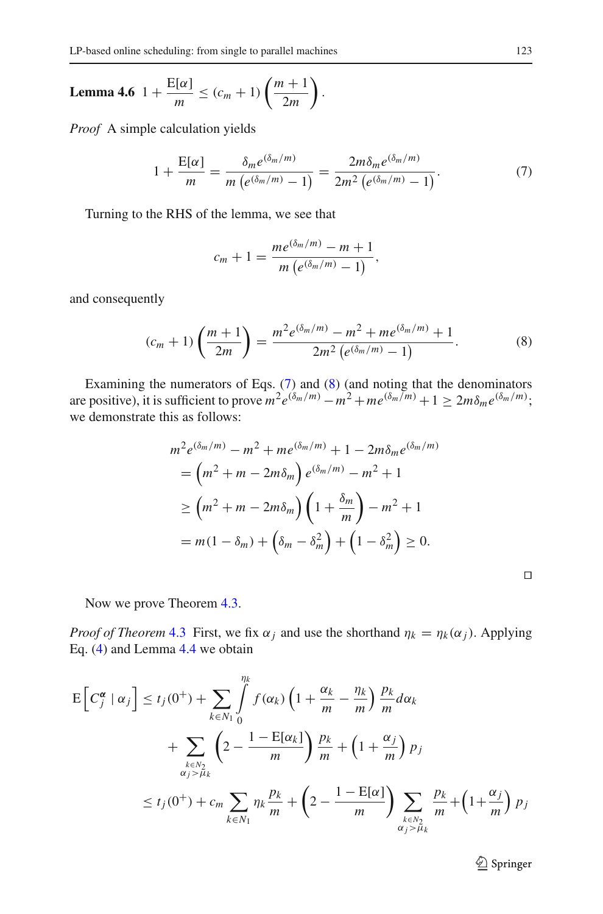$$
\textbf{Lemma 4.6} \ \ 1 + \frac{\text{E}[\alpha]}{m} \leq (c_m + 1) \left( \frac{m+1}{2m} \right).
$$

<span id="page-14-0"></span>*Proof* A simple calculation yields

$$
1 + \frac{E[\alpha]}{m} = \frac{\delta_m e^{(\delta_m/m)}}{m \left( e^{(\delta_m/m)} - 1 \right)} = \frac{2m \delta_m e^{(\delta_m/m)}}{2m^2 \left( e^{(\delta_m/m)} - 1 \right)}.
$$
(7)

Turning to the RHS of the lemma, we see that

$$
c_m + 1 = \frac{me^{(\delta_m/m)} - m + 1}{m(e^{(\delta_m/m)} - 1)},
$$

<span id="page-14-1"></span>and consequently

$$
(c_m + 1)\left(\frac{m+1}{2m}\right) = \frac{m^2 e^{(\delta_m/m)} - m^2 + m e^{(\delta_m/m)} + 1}{2m^2 \left(e^{(\delta_m/m)} - 1\right)}.
$$
 (8)

Examining the numerators of Eqs. [\(7\)](#page-14-0) and [\(8\)](#page-14-1) (and noting that the denominators are positive), it is sufficient to prove  $m^2 e^{(\delta_m/m)} - m^2 + m e^{(\delta_m/m)} + 1 \ge 2m \delta_m e^{(\delta_m/m)}$ ; we demonstrate this as follows:

$$
m^{2}e^{(\delta_{m}/m)} - m^{2} + me^{(\delta_{m}/m)} + 1 - 2m\delta_{m}e^{(\delta_{m}/m)}
$$
  
=  $(m^{2} + m - 2m\delta_{m})e^{(\delta_{m}/m)} - m^{2} + 1$   
 $\ge (m^{2} + m - 2m\delta_{m})\left(1 + \frac{\delta_{m}}{m}\right) - m^{2} + 1$   
=  $m(1 - \delta_{m}) + (\delta_{m} - \delta_{m}^{2}) + (1 - \delta_{m}^{2}) \ge 0.$ 

Now we prove Theorem [4.3.](#page-12-0)

*Proof of Theorem* [4.3](#page-12-0) First, we fix  $\alpha_j$  and use the shorthand  $\eta_k = \eta_k(\alpha_j)$ . Applying Eq. [\(4\)](#page-11-1) and Lemma [4.4](#page-12-1) we obtain

$$
E\left[C_j^{\alpha} \mid \alpha_j\right] \le t_j(0^+) + \sum_{k \in N_1} \int_0^{\eta_k} f(\alpha_k) \left(1 + \frac{\alpha_k}{m} - \frac{\eta_k}{m}\right) \frac{p_k}{m} d\alpha_k
$$
  
+ 
$$
\sum_{\substack{k \in N_2 \\ \alpha_j > \mu_k}} \left(2 - \frac{1 - E[\alpha_k]}{m}\right) \frac{p_k}{m} + \left(1 + \frac{\alpha_j}{m}\right) p_j
$$
  

$$
\le t_j(0^+) + c_m \sum_{k \in N_1} \eta_k \frac{p_k}{m} + \left(2 - \frac{1 - E[\alpha]}{m}\right) \sum_{\substack{k \in N_2 \\ \alpha_j > \mu_k}} \frac{p_k}{m} + \left(1 + \frac{\alpha_j}{m}\right) p_j
$$

 $\Box$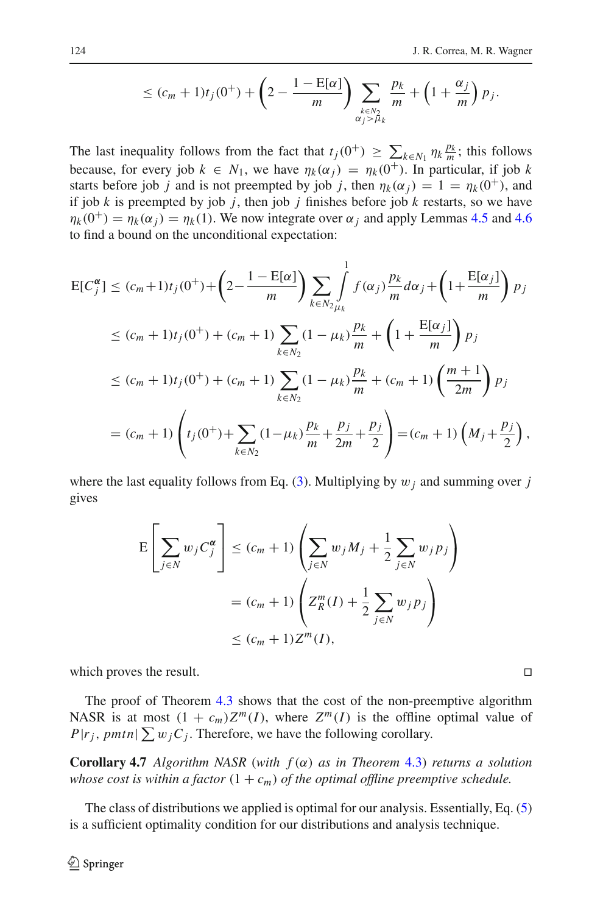$$
\leq (c_m+1)t_j(0^+) + \left(2-\frac{1-\mathrm{E}[\alpha]}{m}\right)\sum_{\substack{k\in N_2\\ \alpha_j>\mu_k}}\frac{p_k}{m} + \left(1+\frac{\alpha_j}{m}\right)p_j.
$$

The last inequality follows from the fact that  $t_j(0^+) \geq \sum_{k \in N_1} \eta_k \frac{p_k}{m}$ ; this follows because, for every job  $k \in N_1$ , we have  $\eta_k(\alpha_i) = \eta_k(0^+)$ . In particular, if job k starts before job *j* and is not preempted by job *j*, then  $\eta_k(\alpha_j) = 1 = \eta_k(0^+),$  and if job  $k$  is preempted by job  $j$ , then job  $j$  finishes before job  $k$  restarts, so we have  $\eta_k(0^+) = \eta_k(\alpha_j) = \eta_k(1)$ . We now integrate over  $\alpha_j$  and apply Lemmas [4.5](#page-12-2) and [4.6](#page-13-1) to find a bound on the unconditional expectation:

$$
E[C_j^{\alpha}] \le (c_m + 1)t_j(0^+) + \left(2 - \frac{1 - E[\alpha]}{m}\right) \sum_{k \in N_2} \int_{\mu_k}^1 f(\alpha_j) \frac{p_k}{m} d\alpha_j + \left(1 + \frac{E[\alpha_j]}{m}\right) p_j
$$
  
\n
$$
\le (c_m + 1)t_j(0^+) + (c_m + 1) \sum_{k \in N_2} (1 - \mu_k) \frac{p_k}{m} + \left(1 + \frac{E[\alpha_j]}{m}\right) p_j
$$
  
\n
$$
\le (c_m + 1)t_j(0^+) + (c_m + 1) \sum_{k \in N_2} (1 - \mu_k) \frac{p_k}{m} + (c_m + 1) \left(\frac{m + 1}{2m}\right) p_j
$$
  
\n
$$
= (c_m + 1) \left(t_j(0^+) + \sum_{k \in N_2} (1 - \mu_k) \frac{p_k}{m} + \frac{p_j}{2m} + \frac{p_j}{2}\right) = (c_m + 1) \left(M_j + \frac{p_j}{2}\right),
$$

where the last equality follows from Eq. [\(3\)](#page-11-2). Multiplying by  $w_j$  and summing over *j* gives

$$
E\left[\sum_{j\in N} w_j C_j^{\alpha}\right] \le (c_m + 1) \left(\sum_{j\in N} w_j M_j + \frac{1}{2} \sum_{j\in N} w_j p_j\right)
$$

$$
= (c_m + 1) \left(Z_R^m(I) + \frac{1}{2} \sum_{j\in N} w_j p_j\right)
$$

$$
\le (c_m + 1) Z^m(I),
$$

which proves the result.  $\Box$ 

The proof of Theorem [4.3](#page-12-0) shows that the cost of the non-preemptive algorithm NASR is at most  $(1 + c_m)Z^m(I)$ , where  $Z^m(I)$  is the offline optimal value of  $P|r_j$ , pmtn $|\sum w_j C_j$ . Therefore, we have the following corollary.

**Corollary 4.7** *Algorithm NASR* (*with f* (α) *as in Theorem* [4.3\)](#page-12-0) *returns a solution whose cost is within a factor*  $(1 + c_m)$  *of the optimal offline preemptive schedule.* 

The class of distributions we applied is optimal for our analysis. Essentially, Eq. [\(5\)](#page-11-0) is a sufficient optimality condition for our distributions and analysis technique.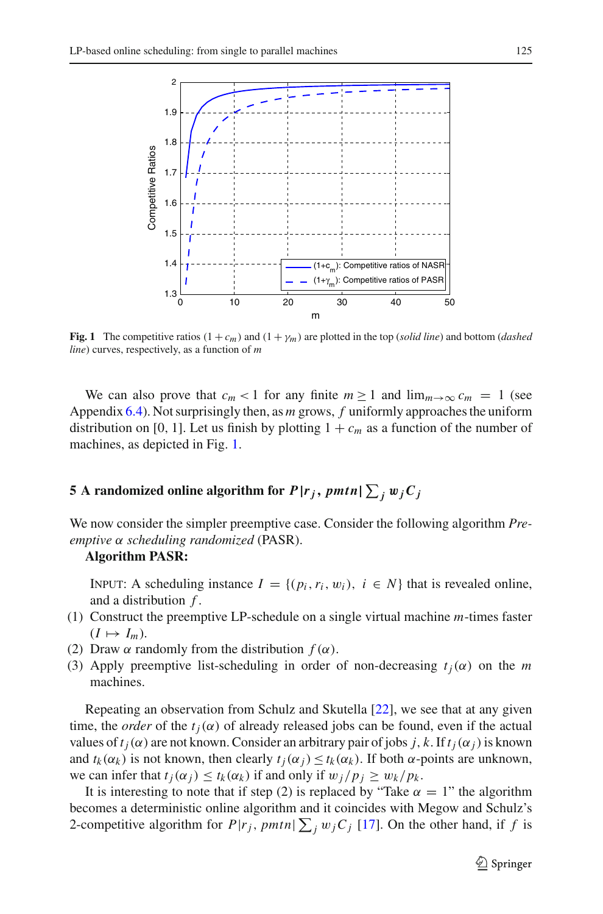

<span id="page-16-1"></span>**Fig. 1** The competitive ratios  $(1 + c_m)$  and  $(1 + \gamma_m)$  are plotted in the top (*solid line*) and bottom (*dashed line*) curves, respectively, as a function of *m*

We can also prove that  $c_m < 1$  for any finite  $m \ge 1$  and  $\lim_{m \to \infty} c_m = 1$  (see Appendix [6.4\)](#page-24-0). Not surprisingly then, as *m* grows, *f* uniformly approaches the uniform distribution on [0, 1]. Let us finish by plotting  $1 + c_m$  as a function of the number of machines, as depicted in Fig. [1.](#page-16-1)

# <span id="page-16-0"></span>**5** A randomized online algorithm for  $P| r_j, \, p m t n | \sum_j w_j C_j$

We now consider the simpler preemptive case. Consider the following algorithm *Preemptive* α *scheduling randomized* (PASR).

### **Algorithm PASR:**

INPUT: A scheduling instance  $I = \{(p_i, r_i, w_i), i \in N\}$  that is revealed online, and a distribution *f* .

- (1) Construct the preemptive LP-schedule on a single virtual machine *m*-times faster  $(I \mapsto I_m)$ .
- (2) Draw  $\alpha$  randomly from the distribution  $f(\alpha)$ .
- (3) Apply preemptive list-scheduling in order of non-decreasing  $t_i(\alpha)$  on the *m* machines.

Repeating an observation from Schulz and Skutella [\[22\]](#page-26-9), we see that at any given time, the *order* of the  $t_i(\alpha)$  of already released jobs can be found, even if the actual values of  $t_i(\alpha)$  are not known. Consider an arbitrary pair of jobs *j*, *k*. If  $t_i(\alpha_i)$  is known and  $t_k(\alpha_k)$  is not known, then clearly  $t_i(\alpha_i) \le t_k(\alpha_k)$ . If both  $\alpha$ -points are unknown, we can infer that  $t_i(\alpha_i) \leq t_k(\alpha_k)$  if and only if  $w_j/p_i \geq w_k/p_k$ .

It is interesting to note that if step (2) is replaced by "Take  $\alpha = 1$ " the algorithm becomes a deterministic online algorithm and it coincides with Megow and Schulz's 2-competitive algorithm for  $P|r_j$ ,  $pmtn \geq j$   $w_jC_j$  [\[17\]](#page-26-2). On the other hand, if f is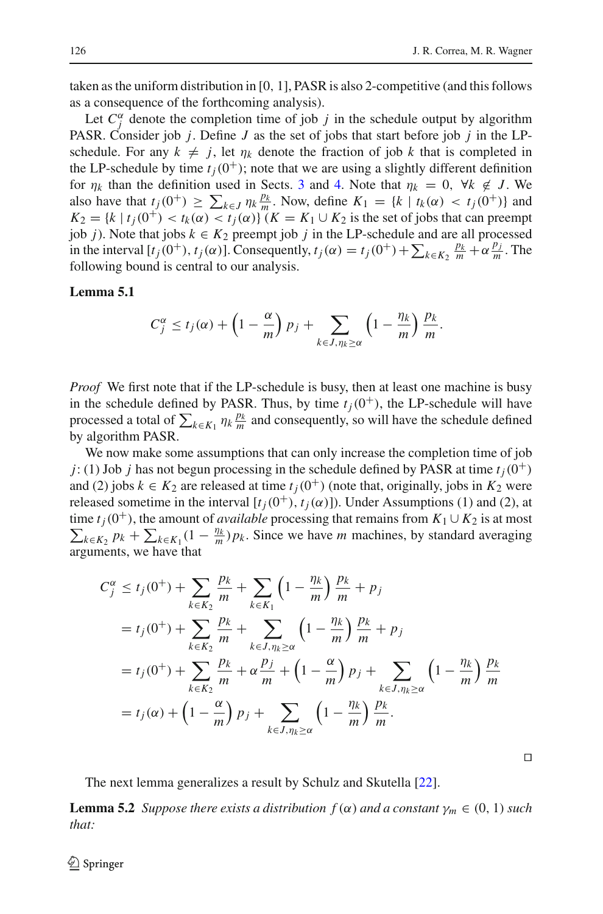taken as the uniform distribution in [0, 1], PASR is also 2-competitive (and this follows as a consequence of the forthcoming analysis).

Let  $C_j^{\alpha}$  denote the completion time of job *j* in the schedule output by algorithm PASR. Consider job *j*. Define *J* as the set of jobs that start before job *j* in the LPschedule. For any  $k \neq j$ , let  $\eta_k$  denote the fraction of job k that is completed in the LP-schedule by time  $t_i(0^+)$ ; note that we are using a slightly different definition for  $\eta_k$  than the definition used in Sects. [3](#page-6-0) and [4.](#page-9-0) Note that  $\eta_k = 0$ ,  $\forall k \notin J$ . We also have that  $t_j(0^+) \ge \sum_{k \in J} \eta_k \frac{p_k}{m}$ . Now, define  $K_1 = \{k \mid t_k(\alpha) < t_j(0^+) \}$  and  $K_2 = \{k \mid t_i(0^+) < t_k(\alpha) < t_i(\alpha)\}$  (*K* = *K*<sub>1</sub> ∪ *K*<sub>2</sub> is the set of jobs that can preempt job *j*). Note that jobs  $k \in K_2$  preempt job *j* in the LP-schedule and are all processed in the interval  $[t_j(0^+), t_j(\alpha)]$ . Consequently,  $t_j(\alpha) = t_j(0^+) + \sum_{k \in K_2} \frac{p_k}{m} + \alpha \frac{p_j}{m}$ . The following bound is central to our analysis.

### <span id="page-17-0"></span>**Lemma 5.1**

$$
C_j^{\alpha} \leq t_j(\alpha) + \left(1 - \frac{\alpha}{m}\right) p_j + \sum_{k \in J, \eta_k \geq \alpha} \left(1 - \frac{\eta_k}{m}\right) \frac{p_k}{m}.
$$

*Proof* We first note that if the LP-schedule is busy, then at least one machine is busy in the schedule defined by PASR. Thus, by time  $t_i(0^+)$ , the LP-schedule will have processed a total of  $\sum_{k \in K_1} \eta_k \frac{p_k}{m}$  and consequently, so will have the schedule defined by algorithm PASR.

We now make some assumptions that can only increase the completion time of job *j*: (1) Job *j* has not begun processing in the schedule defined by PASR at time  $t_i(0^+)$ and (2) jobs  $k \in K_2$  are released at time  $t_i(0^+)$  (note that, originally, jobs in  $K_2$  were released sometime in the interval  $[t_i(0^+), t_i(\alpha)]$ ). Under Assumptions (1) and (2), at time  $t_j(0^+)$ , the amount of *available* processing that remains from  $K_1 \cup K_2$  is at most  $\sum_{k \in K_2} p_k + \sum_{k \in K_1} (1 - \frac{\eta_k}{m}) p_k$ . Since we have *m* machines, by standard averaging arguments, we have that

$$
C_j^{\alpha} \le t_j(0^+) + \sum_{k \in K_2} \frac{p_k}{m} + \sum_{k \in K_1} \left(1 - \frac{\eta_k}{m}\right) \frac{p_k}{m} + p_j
$$
  
=  $t_j(0^+) + \sum_{k \in K_2} \frac{p_k}{m} + \sum_{k \in J, \eta_k \ge \alpha} \left(1 - \frac{\eta_k}{m}\right) \frac{p_k}{m} + p_j$   
=  $t_j(0^+) + \sum_{k \in K_2} \frac{p_k}{m} + \alpha \frac{p_j}{m} + \left(1 - \frac{\alpha}{m}\right) p_j + \sum_{k \in J, \eta_k \ge \alpha} \left(1 - \frac{\eta_k}{m}\right) \frac{p_k}{m}$   
=  $t_j(\alpha) + \left(1 - \frac{\alpha}{m}\right) p_j + \sum_{k \in J, \eta_k \ge \alpha} \left(1 - \frac{\eta_k}{m}\right) \frac{p_k}{m}.$ 

 $\Box$ 

The next lemma generalizes a result by Schulz and Skutella [\[22](#page-26-9)].

<span id="page-17-1"></span>**Lemma 5.2** *Suppose there exists a distribution*  $f(\alpha)$  *and a constant*  $\gamma_m \in (0, 1)$  *such that:*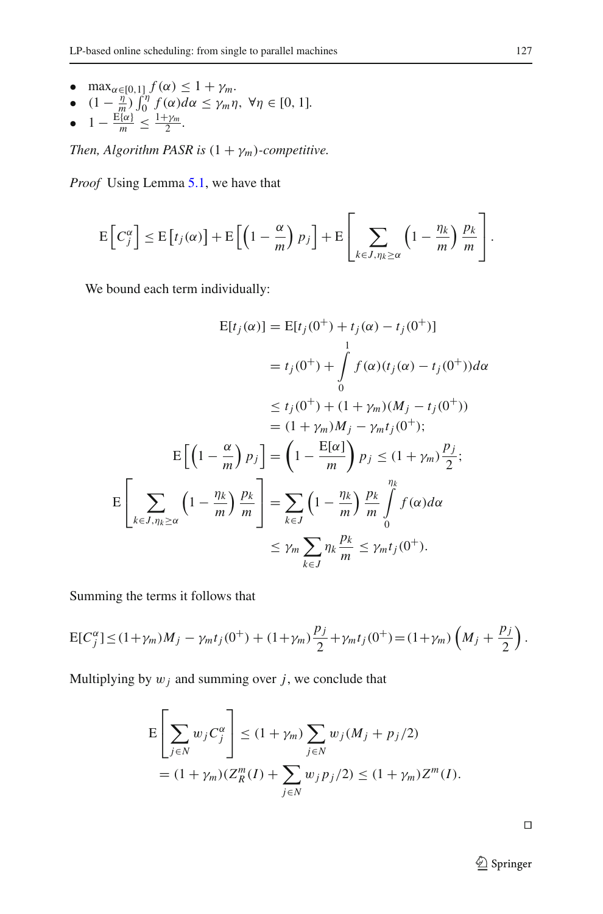- max<sub> $\alpha \in [0,1]$ </sub> $f(\alpha) \leq 1 + \gamma_m$ .
- $(1 \frac{\eta}{m}) \int_0^{\eta} f(\alpha) d\alpha \leq \gamma_m \eta, \ \forall \eta \in [0, 1].$
- $1 \frac{E\{\alpha\}}{m} \leq \frac{1+\gamma_m}{2}$ .

*Then, Algorithm PASR is*  $(1 + \gamma_m)$ *-competitive.* 

*Proof* Using Lemma [5.1,](#page-17-0) we have that

$$
\mathrm{E}\left[C_j^{\alpha}\right] \leq \mathrm{E}\left[t_j(\alpha)\right] + \mathrm{E}\left[\left(1-\frac{\alpha}{m}\right)p_j\right] + \mathrm{E}\left[\sum_{k \in J, \eta_k \geq \alpha} \left(1-\frac{\eta_k}{m}\right)\frac{p_k}{m}\right].
$$

We bound each term individually:

$$
E[t_j(\alpha)] = E[t_j(0^+) + t_j(\alpha) - t_j(0^+)]
$$
  
\n
$$
= t_j(0^+) + \int_0^1 f(\alpha)(t_j(\alpha) - t_j(0^+))d\alpha
$$
  
\n
$$
\leq t_j(0^+) + (1 + \gamma_m)(M_j - t_j(0^+))
$$
  
\n
$$
= (1 + \gamma_m)M_j - \gamma_m t_j(0^+);
$$
  
\n
$$
E\left[\left(1 - \frac{\alpha}{m}\right)p_j\right] = \left(1 - \frac{E[\alpha]}{m}\right)p_j \leq (1 + \gamma_m)\frac{p_j}{2};
$$
  
\n
$$
E\left[\sum_{k \in J, \eta_k \geq \alpha} \left(1 - \frac{\eta_k}{m}\right)\frac{p_k}{m}\right] = \sum_{k \in J} \left(1 - \frac{\eta_k}{m}\right)\frac{p_k}{m}\int_0^{\eta_k} f(\alpha)d\alpha
$$
  
\n
$$
\leq \gamma_m \sum_{k \in J} \eta_k \frac{p_k}{m} \leq \gamma_m t_j(0^+).
$$

Summing the terms it follows that

$$
E[C_j^{\alpha}] \le (1+\gamma_m)M_j - \gamma_m t_j(0^+) + (1+\gamma_m)\frac{p_j}{2} + \gamma_m t_j(0^+) = (1+\gamma_m)\left(M_j + \frac{p_j}{2}\right).
$$

Multiplying by  $w_j$  and summing over  $j$ , we conclude that

$$
E\left[\sum_{j\in N} w_j C_j^{\alpha}\right] \le (1+\gamma_m) \sum_{j\in N} w_j (M_j + p_j/2)
$$
  
=  $(1+\gamma_m)(Z_R^m(I) + \sum_{j\in N} w_j p_j/2) \le (1+\gamma_m)Z^m(I).$ 

 $\Box$ 

<sup>2</sup> Springer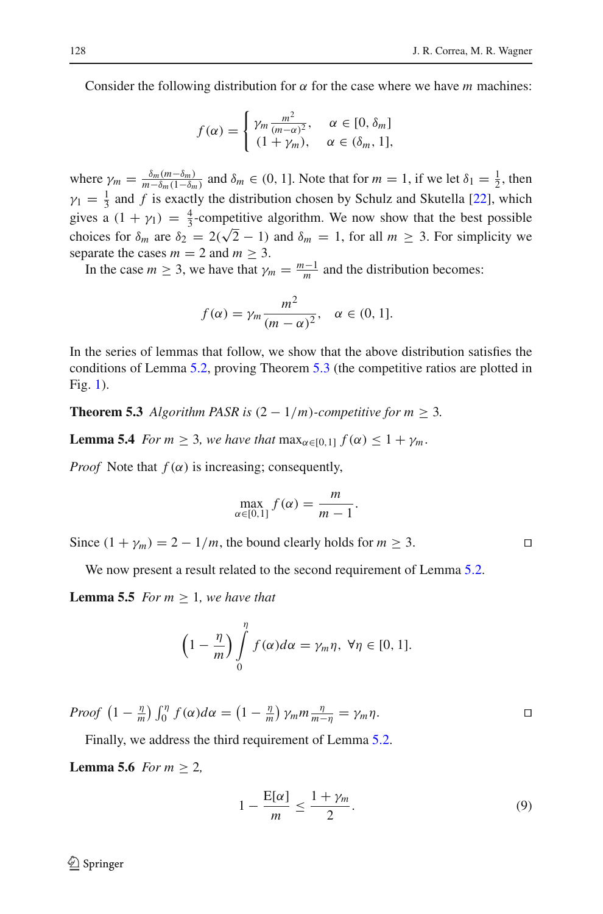Consider the following distribution for  $\alpha$  for the case where we have *m* machines:

$$
f(\alpha) = \begin{cases} \gamma_m \frac{m^2}{(m-\alpha)^2}, & \alpha \in [0, \delta_m] \\ (1 + \gamma_m), & \alpha \in (\delta_m, 1], \end{cases}
$$

where  $\gamma_m = \frac{\delta_m(m-\delta_m)}{m-\delta_m(1-\delta_m)}$  and  $\delta_m \in (0, 1]$ . Note that for  $m = 1$ , if we let  $\delta_1 = \frac{1}{2}$ , then  $\gamma_1 = \frac{1}{3}$  and *f* is exactly the distribution chosen by Schulz and Skutella [\[22](#page-26-9)], which gives a  $(1 + \gamma_1) = \frac{4}{3}$ -competitive algorithm. We now show that the best possible choices for  $\delta_m$  are  $\delta_2 = 2(\sqrt{2} - 1)$  and  $\delta_m = 1$ , for all  $m \ge 3$ . For simplicity we separate the cases  $m = 2$  and  $m \geq 3$ .

In the case  $m \geq 3$ , we have that  $\gamma_m = \frac{m-1}{m}$  and the distribution becomes:

$$
f(\alpha) = \gamma_m \frac{m^2}{(m - \alpha)^2}, \quad \alpha \in (0, 1].
$$

In the series of lemmas that follow, we show that the above distribution satisfies the conditions of Lemma [5.2,](#page-17-1) proving Theorem [5.3](#page-19-0) (the competitive ratios are plotted in Fig. [1\)](#page-16-1).

<span id="page-19-1"></span><span id="page-19-0"></span>**Theorem 5.3** *Algorithm PASR is*  $(2 - 1/m)$ *-competitive for m*  $\geq$  3*.* 

**Lemma 5.4** *For m*  $\geq$  3*, we have that*  $\max_{\alpha \in [0,1]} f(\alpha) \leq 1 + \gamma_m$ .

*Proof* Note that  $f(\alpha)$  is increasing; consequently,

$$
\max_{\alpha \in [0,1]} f(\alpha) = \frac{m}{m-1}.
$$

Since  $(1 + \gamma_m) = 2 - 1/m$ , the bound clearly holds for  $m \ge 3$ .

We now present a result related to the second requirement of Lemma [5.2.](#page-17-1)

**Lemma 5.5** *For m*  $\geq$  1*, we have that* 

$$
\left(1-\frac{\eta}{m}\right)\int\limits_{0}^{\eta}f(\alpha)d\alpha=\gamma_{m}\eta, \ \forall\eta\in[0,1].
$$

*Proof*  $\left(1 - \frac{\eta}{m}\right) \int_0^{\eta} f(\alpha) d\alpha = \left(1 - \frac{\eta}{m}\right) \gamma_m m \frac{\eta}{m - \eta} = \gamma_m \eta.$ 

Finally, we address the third requirement of Lemma [5.2.](#page-17-1)

<span id="page-19-2"></span>**Lemma 5.6** *For m*  $\geq$  2*,* 

$$
1 - \frac{\mathbf{E}[\alpha]}{m} \le \frac{1 + \gamma_m}{2}.\tag{9}
$$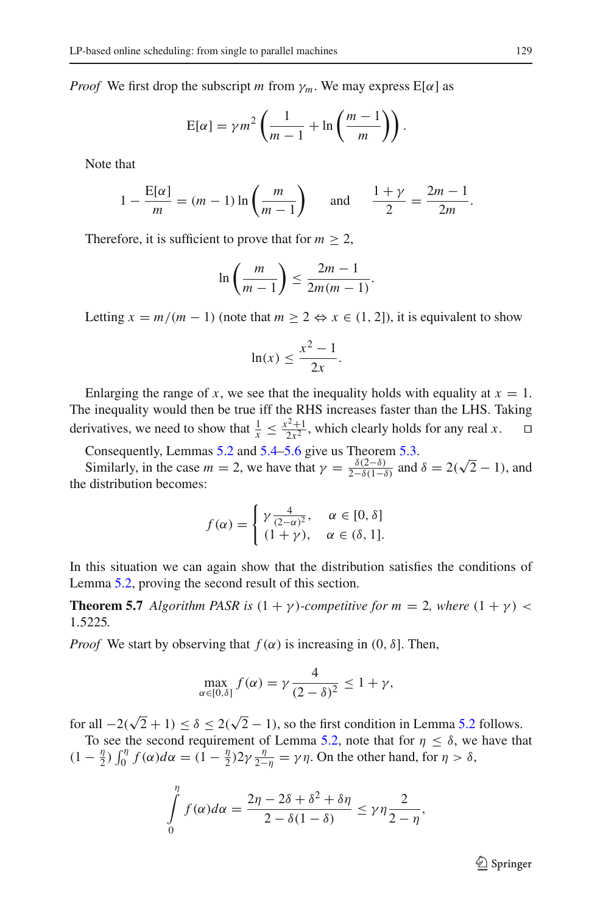*Proof* We first drop the subscript *m* from  $\gamma_m$ . We may express E[ $\alpha$ ] as

$$
E[\alpha] = \gamma m^2 \left( \frac{1}{m-1} + \ln \left( \frac{m-1}{m} \right) \right).
$$

Note that

$$
1 - \frac{E[\alpha]}{m} = (m - 1) \ln \left( \frac{m}{m - 1} \right) \quad \text{and} \quad \frac{1 + \gamma}{2} = \frac{2m - 1}{2m}.
$$

Therefore, it is sufficient to prove that for  $m \geq 2$ ,

$$
\ln\left(\frac{m}{m-1}\right) \le \frac{2m-1}{2m(m-1)}.
$$

Letting  $x = m/(m - 1)$  (note that  $m \ge 2 \Leftrightarrow x \in (1, 2]$ ), it is equivalent to show

$$
\ln(x) \le \frac{x^2 - 1}{2x}.
$$

Enlarging the range of *x*, we see that the inequality holds with equality at  $x = 1$ . The inequality would then be true iff the RHS increases faster than the LHS. Taking derivatives, we need to show that  $\frac{1}{x} \le \frac{x^2+1}{2x^2}$ , which clearly holds for any real *x*.  $\square$ 

Consequently, Lemmas [5.2](#page-17-1) and [5.4](#page-19-1)[–5.6](#page-19-2) give us Theorem [5.3.](#page-19-0)

Consequently, Lemmas 5.2 and 5.4–5.6 give us Theorem 5.3.<br>Similarly, in the case  $m = 2$ , we have that  $\gamma = \frac{\delta(2-\delta)}{2-\delta(1-\delta)}$  and  $\delta = 2(\sqrt{2}-1)$ , and the distribution becomes:

$$
f(\alpha) = \begin{cases} \gamma \frac{4}{(2-\alpha)^2}, & \alpha \in [0, \delta] \\ (1+\gamma), & \alpha \in (\delta, 1]. \end{cases}
$$

In this situation we can again show that the distribution satisfies the conditions of Lemma [5.2,](#page-17-1) proving the second result of this section.

**Theorem 5.7** *Algorithm PASR is*  $(1 + \gamma)$ *-competitive for m* = 2*, where*  $(1 + \gamma)$  < 1.5225*.*

*Proof* We start by observing that  $f(\alpha)$  is increasing in  $(0, \delta]$ . Then,

$$
\max_{\alpha \in [0,\delta]} f(\alpha) = \gamma \frac{4}{(2-\delta)^2} \le 1 + \gamma,
$$

for all  $-2(\sqrt{2}+1) \le \delta \le 2(\sqrt{2}-1)$ , so the first condition in Lemma [5.2](#page-17-1) follows.

To see the second requirement of Lemma [5.2,](#page-17-1) note that for  $\eta \leq \delta$ , we have that  $(1 - \frac{\eta}{2}) \int_0^{\eta} f(\alpha) d\alpha = (1 - \frac{\eta}{2}) 2\gamma \frac{\eta}{2 - \eta} = \gamma \eta$ . On the other hand, for  $\eta > \delta$ ,

$$
\int_{0}^{\eta} f(\alpha) d\alpha = \frac{2\eta - 2\delta + \delta^2 + \delta\eta}{2 - \delta(1 - \delta)} \leq \gamma \eta \frac{2}{2 - \eta},
$$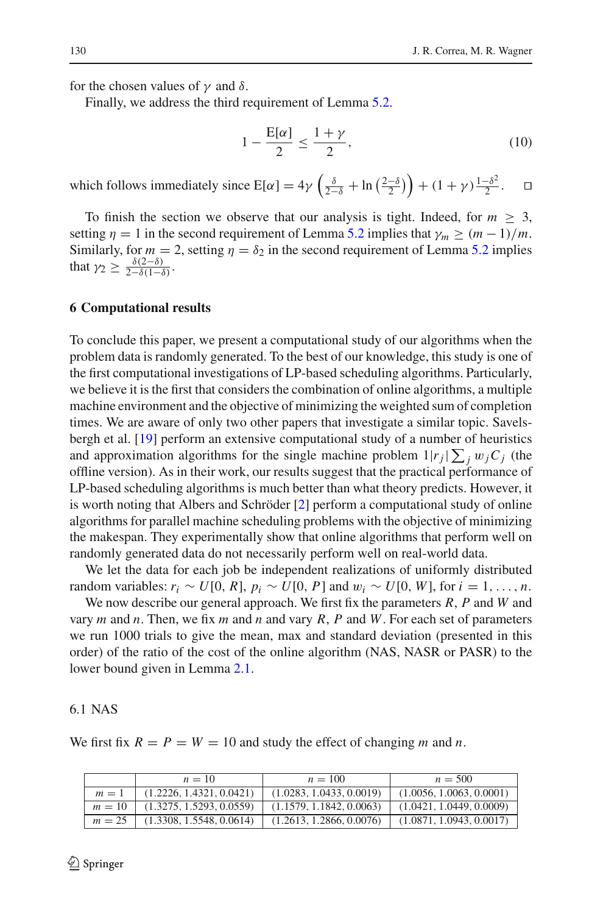for the chosen values of  $\gamma$  and  $\delta$ .

Finally, we address the third requirement of Lemma [5.2.](#page-17-1)

$$
1 - \frac{E[\alpha]}{2} \le \frac{1 + \gamma}{2},\tag{10}
$$

which follows immediately since  $E[\alpha] = 4\gamma \left(\frac{\delta}{2-\delta} + \ln\left(\frac{2-\delta}{2}\right)\right) + (1+\gamma)\frac{1-\delta^2}{2}$ .

To finish the section we observe that our analysis is tight. Indeed, for  $m \geq 3$ , setting  $\eta = 1$  in the second requirement of Lemma [5.2](#page-17-1) implies that  $\gamma_m \ge (m-1)/m$ . Similarly, for  $m = 2$ , setting  $\eta = \delta_2$  in the second requirement of Lemma [5.2](#page-17-1) implies that  $\gamma_2 \geq \frac{\delta(2-\delta)}{2-\delta(1-\delta)}$ .

### <span id="page-21-0"></span>**6 Computational results**

To conclude this paper, we present a computational study of our algorithms when the problem data is randomly generated. To the best of our knowledge, this study is one of the first computational investigations of LP-based scheduling algorithms. Particularly, we believe it is the first that considers the combination of online algorithms, a multiple machine environment and the objective of minimizing the weighted sum of completion times. We are aware of only two other papers that investigate a similar topic. Savelsbergh et al. [\[19](#page-26-11)] perform an extensive computational study of a number of heuristics and approximation algorithms for the single machine problem  $1|r_j|\sum_j w_jC_j$  (the offline version). As in their work, our results suggest that the practical performance of LP-based scheduling algorithms is much better than what theory predicts. However, it is worth noting that Albers and Schröder [\[2](#page-26-21)] perform a computational study of online algorithms for parallel machine scheduling problems with the objective of minimizing the makespan. They experimentally show that online algorithms that perform well on randomly generated data do not necessarily perform well on real-world data.

We let the data for each job be independent realizations of uniformly distributed random variables:  $r_i \sim U[0, R]$ ,  $p_i \sim U[0, P]$  and  $w_i \sim U[0, W]$ , for  $i = 1, \ldots, n$ .

We now describe our general approach. We first fix the parameters *R*, *P* and *W* and vary *m* and *n*. Then, we fix *m* and *n* and vary *R*, *P* and *W*. For each set of parameters we run 1000 trials to give the mean, max and standard deviation (presented in this order) of the ratio of the cost of the online algorithm (NAS, NASR or PASR) to the lower bound given in Lemma [2.1.](#page-5-0)

#### 6.1 NAS

We first fix  $R = P = W = 10$  and study the effect of changing *m* and *n*.

|       | $n = 10$                              | $n = 100$                | $n = 500$                |
|-------|---------------------------------------|--------------------------|--------------------------|
| $m=1$ | (1.2226, 1.4321, 0.0421)              | (1.0283, 1.0433, 0.0019) | (1.0056, 1.0063, 0.0001) |
|       | $m = 10$   $(1.3275, 1.5293, 0.0559)$ | (1.1579, 1.1842, 0.0063) | (1.0421, 1.0449, 0.0009) |
|       | $m = 25$ (1.3308, 1.5548, 0.0614)     | (1.2613, 1.2866, 0.0076) | (1.0871, 1.0943, 0.0017) |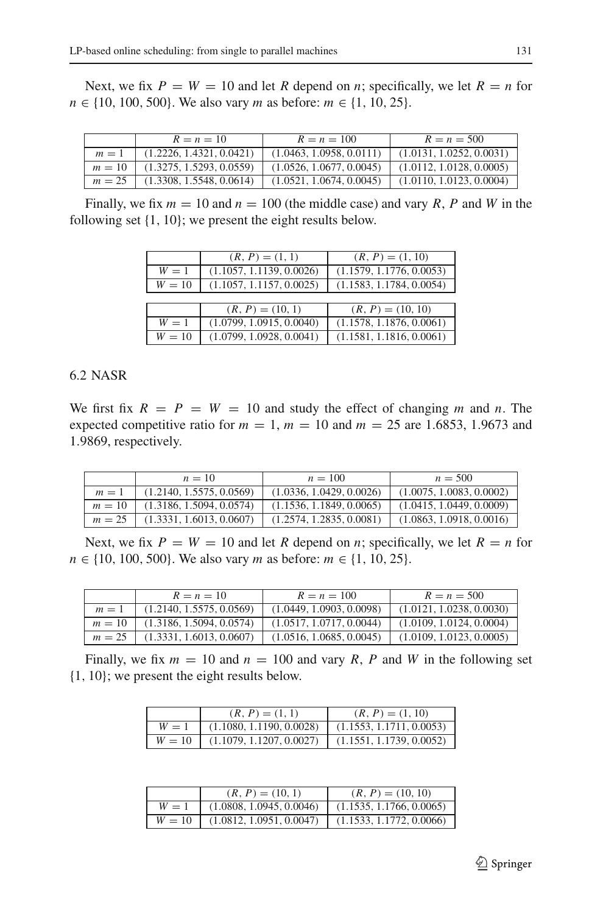Next, we fix  $P = W = 10$  and let R depend on *n*; specifically, we let  $R = n$  for *n* ∈ {10, 100, 500}. We also vary *m* as before: *m* ∈ {1, 10, 25}.

|        | $R = n = 10$             | $R = n = 100$            | $R = n = 500$            |
|--------|--------------------------|--------------------------|--------------------------|
| $m=1$  | (1.2226, 1.4321, 0.0421) | (1.0463, 1.0958, 0.0111) | (1.0131, 1.0252, 0.0031) |
| $m=10$ | (1.3275, 1.5293, 0.0559) | (1.0526, 1.0677, 0.0045) | (1.0112, 1.0128, 0.0005) |
| $m=25$ | (1.3308, 1.5548, 0.0614) | (1.0521, 1.0674, 0.0045) | (1.0110, 1.0123, 0.0004) |

Finally, we fix  $m = 10$  and  $n = 100$  (the middle case) and vary R, P and W in the following set {1, 10}; we present the eight results below.

|        | $(R, P) = (1, 1)$        | $(R, P) = (1, 10)$       |
|--------|--------------------------|--------------------------|
| $W=1$  | (1.1057, 1.1139, 0.0026) | (1.1579, 1.1776, 0.0053) |
| $W=10$ | (1.1057, 1.1157, 0.0025) | (1.1583, 1.1784, 0.0054) |
|        |                          |                          |
|        | $(R, P) = (10, 1)$       | $(R, P) = (10, 10)$      |
| $W=1$  | (1.0799, 1.0915, 0.0040) | (1.1578, 1.1876, 0.0061) |
| $W=10$ | (1.0799, 1.0928, 0.0041) | (1.1581, 1.1816, 0.0061) |

### 6.2 NASR

We first fix  $R = P = W = 10$  and study the effect of changing *m* and *n*. The expected competitive ratio for  $m = 1$ ,  $m = 10$  and  $m = 25$  are 1.6853, 1.9673 and 1.9869, respectively.

|          | $n = 10$                 | $n = 100$                | $n = 500$                |
|----------|--------------------------|--------------------------|--------------------------|
| $m=1$    | (1.2140, 1.5575, 0.0569) | (1.0336, 1.0429, 0.0026) | (1.0075, 1.0083, 0.0002) |
| $m = 10$ | (1.3186, 1.5094, 0.0574) | (1.1536, 1.1849, 0.0065) | (1.0415, 1.0449, 0.0009) |
| $m = 25$ | (1.3331, 1.6013, 0.0607) | (1.2574, 1.2835, 0.0081) | (1.0863, 1.0918, 0.0016) |

Next, we fix  $P = W = 10$  and let R depend on *n*; specifically, we let  $R = n$  for *n* ∈ {10, 100, 500}. We also vary *m* as before: *m* ∈ {1, 10, 25}.

| $R = n = 10$                                                                        | $R = n = 100$            | $R = n = 500$            |
|-------------------------------------------------------------------------------------|--------------------------|--------------------------|
| $m = 1$ (1.2140, 1.5575, 0.0569)                                                    | (1.0449, 1.0903, 0.0098) | (1.0121, 1.0238, 0.0030) |
| $m = 10$ (1.3186, 1.5094, 0.0574) (1.0517, 1.0717, 0.0044) (1.0109, 1.0124, 0.0004) |                          |                          |
| $m = 25$ (1.3331, 1.6013, 0.0607) (1.0516, 1.0685, 0.0045) (1.0109, 1.0123, 0.0005) |                          |                          |

Finally, we fix  $m = 10$  and  $n = 100$  and vary R, P and W in the following set {1, 10}; we present the eight results below.

|        | $(R, P) = (1, 1)$                                   | $(R, P) = (1, 10)$       |
|--------|-----------------------------------------------------|--------------------------|
| $W=1$  | (1.1080, 1.1190, 0.0028)                            | (1.1553, 1.1711, 0.0053) |
| $W=10$ | $(1.1079, 1.1207, 0.0027)$ (1.1551, 1.1739, 0.0052) |                          |

|        | $(R, P) = (10, 1)$       | $(R, P) = (10, 10)$      |
|--------|--------------------------|--------------------------|
| $W=1$  | (1.0808, 1.0945, 0.0046) | (1.1535, 1.1766, 0.0065) |
| $W=10$ | (1.0812, 1.0951, 0.0047) | (1.1533, 1.1772, 0.0066) |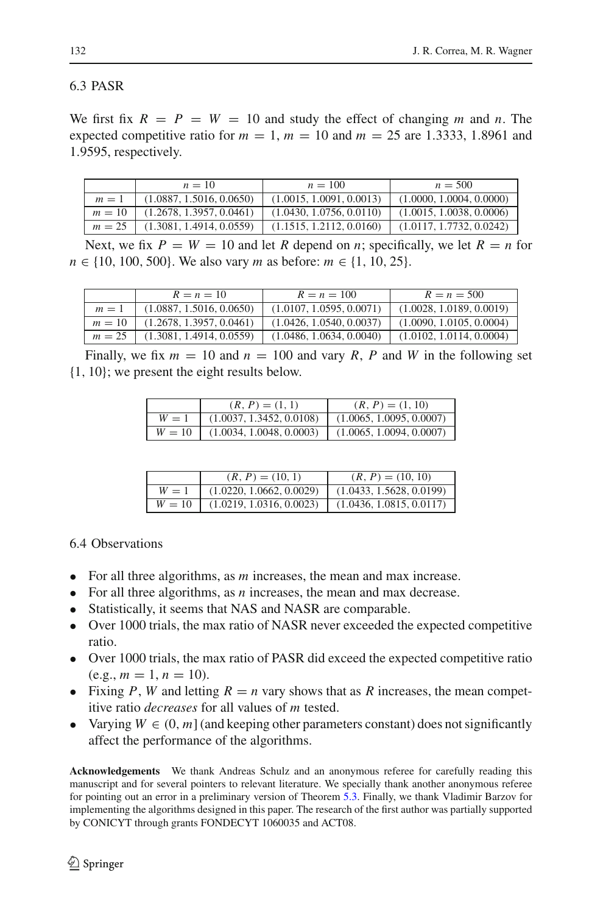## 6.3 PASR

We first fix  $R = P = W = 10$  and study the effect of changing *m* and *n*. The expected competitive ratio for  $m = 1$ ,  $m = 10$  and  $m = 25$  are 1.3333, 1.8961 and 1.9595, respectively.

| $n=10$                                                     | $n = 100$                | $n = 500$                |
|------------------------------------------------------------|--------------------------|--------------------------|
| $m = 1$ (1.0887, 1.5016, 0.0650)                           | (1.0015, 1.0091, 0.0013) | (1.0000, 1.0004, 0.0000) |
| $m = 10$ (1.2678, 1.3957, 0.0461)                          | (1.0430, 1.0756, 0.0110) | (1.0015, 1.0038, 0.0006) |
| $m = 25$ (1.3081, 1.4914, 0.0559) (1.1515, 1.2112, 0.0160) |                          | (1.0117, 1.7732, 0.0242) |

Next, we fix  $P = W = 10$  and let R depend on *n*; specifically, we let  $R = n$  for *n* ∈ {10, 100, 500}. We also vary *m* as before: *m* ∈ {1, 10, 25}.

|          | $R = n = 10$             | $R = n = 100$            | $R = n = 500$            |
|----------|--------------------------|--------------------------|--------------------------|
| $m=1$    | (1.0887, 1.5016, 0.0650) | (1.0107, 1.0595, 0.0071) | (1.0028, 1.0189, 0.0019) |
| $m = 10$ | (1.2678, 1.3957, 0.0461) | (1.0426, 1.0540, 0.0037) | (1.0090, 1.0105, 0.0004) |
| $m = 25$ | (1.3081, 1.4914, 0.0559) | (1.0486, 1.0634, 0.0040) | (1.0102, 1.0114, 0.0004) |

Finally, we fix  $m = 10$  and  $n = 100$  and vary R, P and W in the following set {1, 10}; we present the eight results below.

|        | $(R, P) = (1, 1)$        | $(R, P) = (1, 10)$       |
|--------|--------------------------|--------------------------|
| $W=1$  | (1.0037, 1.3452, 0.0108) | (1.0065, 1.0095, 0.0007) |
| $W=10$ | (1.0034, 1.0048, 0.0003) | (1.0065, 1.0094, 0.0007) |

|       | $(R, P) = (10, 1)$                                                 | $(R, P) = (10, 10)$      |
|-------|--------------------------------------------------------------------|--------------------------|
| $W=1$ | (1.0220, 1.0662, 0.0029)                                           | (1.0433, 1.5628, 0.0199) |
|       | $W = 10$   $(1.0219, 1.0316, 0.0023)$   $(1.0436, 1.0815, 0.0117)$ |                          |

6.4 Observations

- For all three algorithms, as *m* increases, the mean and max increase.
- For all three algorithms, as *n* increases, the mean and max decrease.
- Statistically, it seems that NAS and NASR are comparable.
- Over 1000 trials, the max ratio of NASR never exceeded the expected competitive ratio.
- Over 1000 trials, the max ratio of PASR did exceed the expected competitive ratio  $(e.g., m = 1, n = 10).$
- Fixing P, W and letting  $R = n$  vary shows that as R increases, the mean competitive ratio *decreases* for all values of *m* tested.
- Varying  $W \in (0, m]$  (and keeping other parameters constant) does not significantly affect the performance of the algorithms.

**Acknowledgements** We thank Andreas Schulz and an anonymous referee for carefully reading this manuscript and for several pointers to relevant literature. We specially thank another anonymous referee for pointing out an error in a preliminary version of Theorem [5.3.](#page-19-0) Finally, we thank Vladimir Barzov for implementing the algorithms designed in this paper. The research of the first author was partially supported by CONICYT through grants FONDECYT 1060035 and ACT08.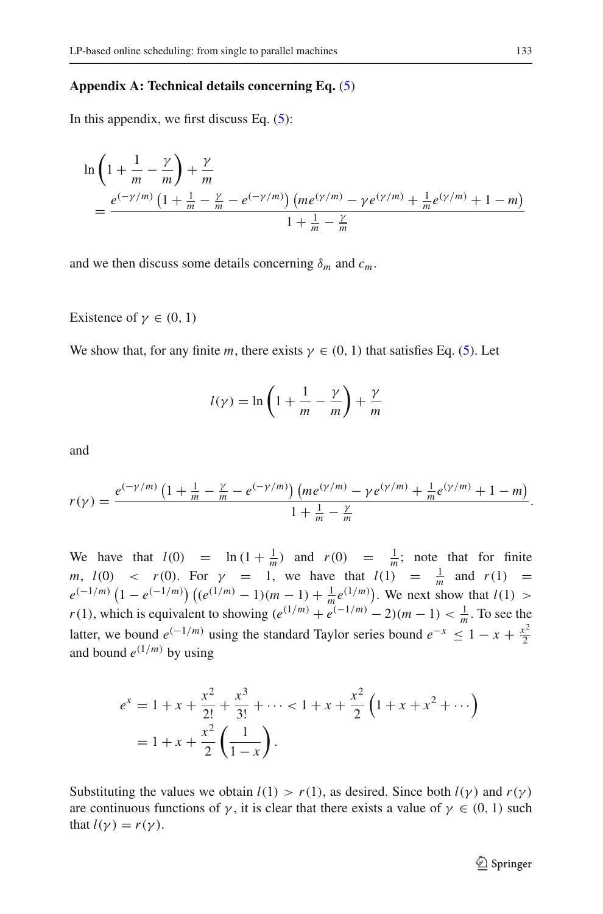### <span id="page-24-0"></span>**Appendix A: Technical details concerning Eq.** [\(5\)](#page-11-0)

In this appendix, we first discuss Eq.  $(5)$ :

$$
\ln\left(1+\frac{1}{m}-\frac{\gamma}{m}\right)+\frac{\gamma}{m}
$$
\n
$$
=\frac{e^{(-\gamma/m)}\left(1+\frac{1}{m}-\frac{\gamma}{m}-e^{(-\gamma/m)}\right)\left(m e^{(\gamma/m)}-\gamma e^{(\gamma/m)}+\frac{1}{m}e^{(\gamma/m)}+1-m\right)}{1+\frac{1}{m}-\frac{\gamma}{m}}
$$

and we then discuss some details concerning  $\delta_m$  and  $c_m$ .

Existence of  $\gamma \in (0, 1)$ 

We show that, for any finite *m*, there exists  $\gamma \in (0, 1)$  that satisfies Eq. [\(5\)](#page-11-0). Let

$$
l(\gamma) = \ln\left(1 + \frac{1}{m} - \frac{\gamma}{m}\right) + \frac{\gamma}{m}
$$

and

$$
r(\gamma) = \frac{e^{(-\gamma/m)}\left(1 + \frac{1}{m} - \frac{\gamma}{m} - e^{(-\gamma/m)}\right) \left(m e^{(\gamma/m)} - \gamma e^{(\gamma/m)} + \frac{1}{m} e^{(\gamma/m)} + 1 - m\right)}{1 + \frac{1}{m} - \frac{\gamma}{m}}.
$$

We have that  $l(0) = \ln(1 + \frac{1}{m})$  and  $r(0) = \frac{1}{m}$ ; note that for finite *m*,  $l(0)$  <  $r(0)$ . For  $\gamma = 1$ , we have that  $l(1) = \frac{1}{m}$  and  $r(1) =$  $e^{(-1/m)} (1 - e^{(-1/m)}) ((e^{(1/m)} - 1)(m - 1) + \frac{1}{m} e^{(1/m)})$ . We next show that *l*(1) > *r*(1), which is equivalent to showing  $(e^{(1/m)} + e^{(-1/m)} - 2)(m - 1) < \frac{1}{m}$ . To see the latter, we bound  $e^{(-1/m)}$  using the standard Taylor series bound  $e^{-x} \leq 1 - x + \frac{x^2}{2}$ and bound  $e^{(1/m)}$  by using

$$
e^{x} = 1 + x + \frac{x^{2}}{2!} + \frac{x^{3}}{3!} + \dots < 1 + x + \frac{x^{2}}{2} \left( 1 + x + x^{2} + \dots \right)
$$

$$
= 1 + x + \frac{x^{2}}{2} \left( \frac{1}{1-x} \right).
$$

Substituting the values we obtain  $l(1) > r(1)$ , as desired. Since both  $l(\gamma)$  and  $r(\gamma)$ are continuous functions of  $\gamma$ , it is clear that there exists a value of  $\gamma \in (0, 1)$  such that  $l(\gamma) = r(\gamma)$ .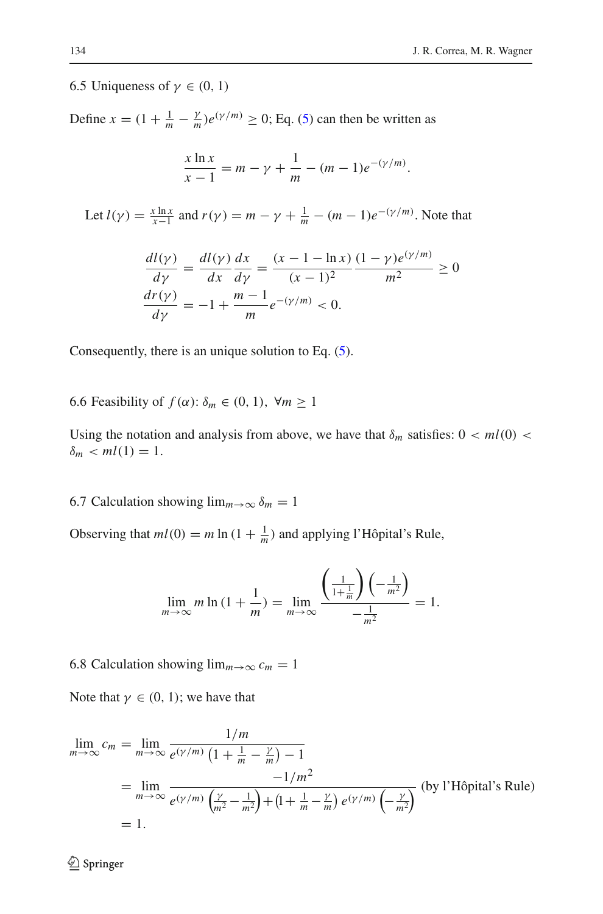### 6.5 Uniqueness of  $\gamma \in (0, 1)$

Define  $x = (1 + \frac{1}{m} - \frac{\gamma}{m})e^{(\gamma/m)} \ge 0$ ; Eq. [\(5\)](#page-11-0) can then be written as

$$
\frac{x \ln x}{x - 1} = m - \gamma + \frac{1}{m} - (m - 1)e^{-(\gamma/m)}.
$$

Let  $l(\gamma) = \frac{x \ln x}{x-1}$  and  $r(\gamma) = m - \gamma + \frac{1}{m} - (m-1)e^{-(\gamma/m)}$ . Note that

$$
\frac{d l(\gamma)}{d\gamma} = \frac{d l(\gamma)}{d x} \frac{d x}{d \gamma} = \frac{(x - 1 - \ln x)}{(x - 1)^2} \frac{(1 - \gamma)e^{(\gamma/m)}}{m^2} \ge 0
$$
  

$$
\frac{d r(\gamma)}{d \gamma} = -1 + \frac{m - 1}{m} e^{-(\gamma/m)} < 0.
$$

Consequently, there is an unique solution to Eq. [\(5\)](#page-11-0).

6.6 Feasibility of  $f(\alpha)$ :  $\delta_m \in (0, 1)$ ,  $\forall m \ge 1$ 

Using the notation and analysis from above, we have that  $\delta_m$  satisfies:  $0 < ml(0) <$  $\delta_m$  < *ml*(1) = 1.

6.7 Calculation showing  $\lim_{m\to\infty} \delta_m = 1$ 

Observing that  $ml(0) = m \ln(1 + \frac{1}{m})$  and applying l'Hôpital's Rule,

$$
\lim_{m \to \infty} m \ln \left( 1 + \frac{1}{m} \right) = \lim_{m \to \infty} \frac{\left( \frac{1}{1 + \frac{1}{m}} \right) \left( -\frac{1}{m^2} \right)}{-\frac{1}{m^2}} = 1.
$$

6.8 Calculation showing  $\lim_{m\to\infty} c_m = 1$ 

Note that  $\gamma \in (0, 1)$ ; we have that

$$
\lim_{m \to \infty} c_m = \lim_{m \to \infty} \frac{1/m}{e^{(\gamma/m)} \left(1 + \frac{1}{m} - \frac{\gamma}{m}\right) - 1}
$$
\n
$$
= \lim_{m \to \infty} \frac{-1/m^2}{e^{(\gamma/m)} \left(\frac{\gamma}{m^2} - \frac{1}{m^2}\right) + \left(1 + \frac{1}{m} - \frac{\gamma}{m}\right) e^{(\gamma/m)} \left(-\frac{\gamma}{m^2}\right)} \text{ (by l'Hôpital's Rule)}
$$
\n
$$
= 1.
$$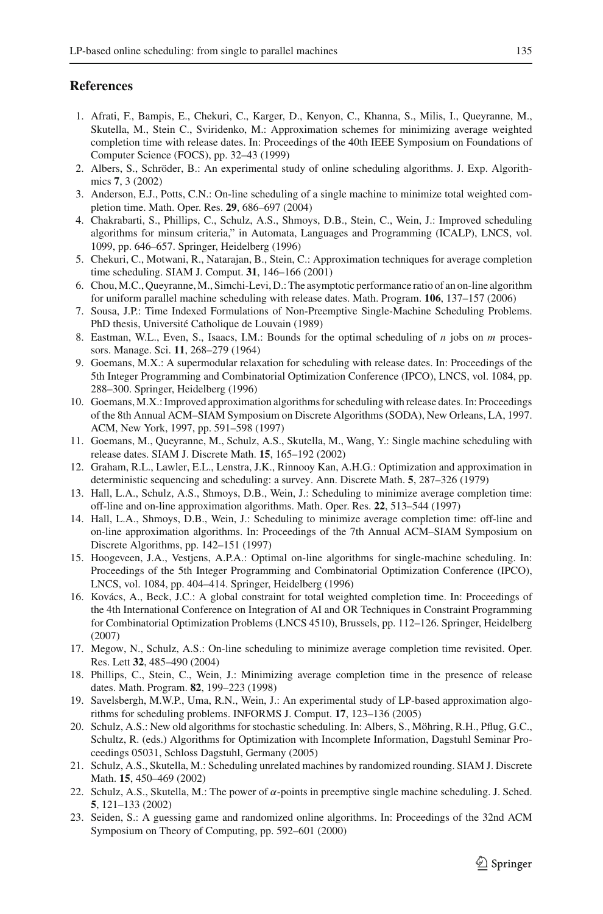### <span id="page-26-19"></span>**References**

- 1. Afrati, F., Bampis, E., Chekuri, C., Karger, D., Kenyon, C., Khanna, S., Milis, I., Queyranne, M., Skutella, M., Stein C., Sviridenko, M.: Approximation schemes for minimizing average weighted completion time with release dates. In: Proceedings of the 40th IEEE Symposium on Foundations of Computer Science (FOCS), pp. 32–43 (1999)
- <span id="page-26-21"></span>2. Albers, S., Schröder, B.: An experimental study of online scheduling algorithms. J. Exp. Algorithmics **7**, 3 (2002)
- <span id="page-26-10"></span>3. Anderson, E.J., Potts, C.N.: On-line scheduling of a single machine to minimize total weighted completion time. Math. Oper. Res. **29**, 686–697 (2004)
- <span id="page-26-3"></span>4. Chakrabarti, S., Phillips, C., Schulz, A.S., Shmoys, D.B., Stein, C., Wein, J.: Improved scheduling algorithms for minsum criteria," in Automata, Languages and Programming (ICALP), LNCS, vol. 1099, pp. 646–657. Springer, Heidelberg (1996)
- <span id="page-26-5"></span>5. Chekuri, C., Motwani, R., Natarajan, B., Stein, C.: Approximation techniques for average completion time scheduling. SIAM J. Comput. **31**, 146–166 (2001)
- <span id="page-26-7"></span>6. Chou,M.C., Queyranne,M., Simchi-Levi, D.: The asymptotic performance ratio of an on-line algorithm for uniform parallel machine scheduling with release dates. Math. Program. **106**, 137–157 (2006)
- <span id="page-26-13"></span>7. Sousa, J.P.: Time Indexed Formulations of Non-Preemptive Single-Machine Scheduling Problems. PhD thesis, Université Catholique de Louvain (1989)
- <span id="page-26-12"></span>8. Eastman, W.L., Even, S., Isaacs, I.M.: Bounds for the optimal scheduling of *n* jobs on *m* processors. Manage. Sci. **11**, 268–279 (1964)
- <span id="page-26-20"></span>9. Goemans, M.X.: A supermodular relaxation for scheduling with release dates. In: Proceedings of the 5th Integer Programming and Combinatorial Optimization Conference (IPCO), LNCS, vol. 1084, pp. 288–300. Springer, Heidelberg (1996)
- <span id="page-26-14"></span>10. Goemans, M.X.: Improved approximation algorithms for scheduling with release dates. In: Proceedings of the 8th Annual ACM–SIAM Symposium on Discrete Algorithms (SODA), New Orleans, LA, 1997. ACM, New York, 1997, pp. 591–598 (1997)
- <span id="page-26-8"></span>11. Goemans, M., Queyranne, M., Schulz, A.S., Skutella, M., Wang, Y.: Single machine scheduling with release dates. SIAM J. Discrete Math. **15**, 165–192 (2002)
- <span id="page-26-0"></span>12. Graham, R.L., Lawler, E.L., Lenstra, J.K., Rinnooy Kan, A.H.G.: Optimization and approximation in deterministic sequencing and scheduling: a survey. Ann. Discrete Math. **5**, 287–326 (1979)
- <span id="page-26-1"></span>13. Hall, L.A., Schulz, A.S., Shmoys, D.B., Wein, J.: Scheduling to minimize average completion time: off-line and on-line approximation algorithms. Math. Oper. Res. **22**, 513–544 (1997)
- 14. Hall, L.A., Shmoys, D.B., Wein, J.: Scheduling to minimize average completion time: off-line and on-line approximation algorithms. In: Proceedings of the 7th Annual ACM–SIAM Symposium on Discrete Algorithms, pp. 142–151 (1997)
- <span id="page-26-17"></span>15. Hoogeveen, J.A., Vestjens, A.P.A.: Optimal on-line algorithms for single-machine scheduling. In: Proceedings of the 5th Integer Programming and Combinatorial Optimization Conference (IPCO), LNCS, vol. 1084, pp. 404–414. Springer, Heidelberg (1996)
- <span id="page-26-16"></span>16. Kovács, A., Beck, J.C.: A global constraint for total weighted completion time. In: Proceedings of the 4th International Conference on Integration of AI and OR Techniques in Constraint Programming for Combinatorial Optimization Problems (LNCS 4510), Brussels, pp. 112–126. Springer, Heidelberg (2007)
- <span id="page-26-2"></span>17. Megow, N., Schulz, A.S.: On-line scheduling to minimize average completion time revisited. Oper. Res. Lett **32**, 485–490 (2004)
- <span id="page-26-6"></span>18. Phillips, C., Stein, C., Wein, J.: Minimizing average completion time in the presence of release dates. Math. Program. **82**, 199–223 (1998)
- <span id="page-26-11"></span>19. Savelsbergh, M.W.P., Uma, R.N., Wein, J.: An experimental study of LP-based approximation algorithms for scheduling problems. INFORMS J. Comput. **17**, 123–136 (2005)
- <span id="page-26-15"></span>20. Schulz, A.S.: New old algorithms for stochastic scheduling. In: Albers, S., Möhring, R.H., Pflug, G.C., Schultz, R. (eds.) Algorithms for Optimization with Incomplete Information, Dagstuhl Seminar Proceedings 05031, Schloss Dagstuhl, Germany (2005)
- <span id="page-26-4"></span>21. Schulz, A.S., Skutella, M.: Scheduling unrelated machines by randomized rounding. SIAM J. Discrete Math. **15**, 450–469 (2002)
- <span id="page-26-9"></span>22. Schulz, A.S., Skutella, M.: The power of  $\alpha$ -points in preemptive single machine scheduling. J. Sched. **5**, 121–133 (2002)
- <span id="page-26-18"></span>23. Seiden, S.: A guessing game and randomized online algorithms. In: Proceedings of the 32nd ACM Symposium on Theory of Computing, pp. 592–601 (2000)